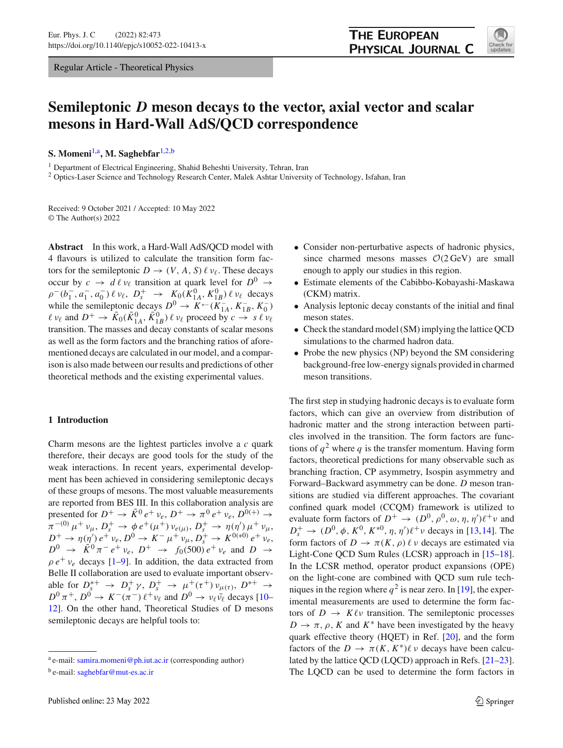Regular Article - Theoretical Physics



# **Semileptonic** *D* **meson decays to the vector, axial vector and scalar mesons in Hard-Wall AdS/QCD correspondence**

**S. Momeni**[1,](#page-0-0)a**, M. Saghebfar**[1,2,](#page-0-0)b

<sup>1</sup> Department of Electrical Engineering, Shahid Beheshti University, Tehran, Iran

<sup>2</sup> Optics-Laser Science and Technology Research Center, Malek Ashtar University of Technology, Isfahan, Iran

Received: 9 October 2021 / Accepted: 10 May 2022 © The Author(s) 2022

**Abstract** In this work, a Hard-Wall AdS/QCD model with 4 flavours is utilized to calculate the transition form factors for the semileptonic  $D \to (V, A, S) \ell \nu_{\ell}$ . These decays occur by  $c \to d \ell \nu_{\ell}$  transition at quark level for  $D^0 \to$  $\rho^-(b_1^-, a_1^-, a_0^-) \ell \nu_\ell, D_s^+ \rightarrow K_0(K_{1A}^0, K_{1B}^0) \ell \nu_\ell$  decays while the semileptonic decays  $D^0 \rightarrow K^{*-}(K_{1A}^-, K_B^-, K_0^-)$  $\ell \nu_{\ell}$  and  $D^+ \to \bar{K}_0(\bar{K}_{1A}^0, \bar{K}_{1B}^0)$   $\ell \nu_{\ell}$  proceed by  $c \to s \ell \nu_{\ell}$ transition. The masses and decay constants of scalar mesons as well as the form factors and the branching ratios of aforementioned decays are calculated in our model, and a comparison is also made between our results and predictions of other theoretical methods and the existing experimental values.

# **1 Introduction**

Charm mesons are the lightest particles involve a *c* quark therefore, their decays are good tools for the study of the weak interactions. In recent years, experimental development has been achieved in considering semileptonic decays of these groups of mesons. The most valuable measurements are reported from BES III. In this collaboration analysis are presented for  $D^+ \rightarrow \bar{K}^0 e^+ \nu_e$ ,  $D^+ \rightarrow \pi^0 e^+ \nu_e$ ,  $D^{0(+)} \rightarrow$  $\pi^{-(0)} \mu^+ \nu_\mu, D_s^+ \to \phi e^+ (\mu^+) \nu_{e(\mu)}, D_s^+ \to \eta(\eta') \mu^+ \nu_\mu,$  $D^+$   $\to \eta(\eta') e^+ \nu_e, D^0 \to K^- \mu^+ \nu_\mu, D^+_s \to K^{0(*)} e^+ \nu_e,$  $D^0 \rightarrow \bar{K}^0 \pi^- e^+ \nu_e, D^+ \rightarrow f_0(500) e^+ \nu_e$  and  $D \rightarrow$  $\rho e^+ v_e$  decays [\[1](#page-13-0)[–9\]](#page-13-1). In addition, the data extracted from Belle II collaboration are used to evaluate important observable for  $D_s^{*+} \rightarrow D_s^+ \gamma$ ,  $D_s^+ \rightarrow \mu^+ (\tau^+) \nu_{\mu(\tau)}, D^{*+} \rightarrow$  $D^0 \pi^+$ ,  $D^0 \to K^-(\pi^-) \ell^+ \nu_\ell$  and  $D^0 \to \nu_\ell \bar{\nu_\ell}$  decays [\[10](#page-13-2)– [12\]](#page-13-3). On the other hand, Theoretical Studies of D mesons semileptonic decays are helpful tools to:

- <span id="page-0-0"></span>• Consider non-perturbative aspects of hadronic physics, since charmed mesons masses  $O(2 \text{ GeV})$  are small enough to apply our studies in this region.
- Estimate elements of the Cabibbo-Kobayashi-Maskawa (CKM) matrix.
- Analysis leptonic decay constants of the initial and final meson states.
- Check the standard model (SM) implying the lattice QCD simulations to the charmed hadron data.
- Probe the new physics (NP) beyond the SM considering background-free low-energy signals provided in charmed meson transitions.

The first step in studying hadronic decays is to evaluate form factors, which can give an overview from distribution of hadronic matter and the strong interaction between particles involved in the transition. The form factors are functions of  $q^2$  where q is the transfer momentum. Having form factors, theoretical predictions for many observable such as branching fraction, CP asymmetry, Isospin asymmetry and Forward–Backward asymmetry can be done. *D* meson transitions are studied via different approaches. The covariant confined quark model (CCQM) framework is utilized to evaluate form factors of  $D^+ \to (D^0, \rho^0, \omega, \eta, \eta')\ell^+ \nu$  and  $D_s^+ \to (D^0, \phi, K^0, K^{*0}, \eta, \eta')\ell^+ \nu$  decays in [\[13](#page-13-4)[,14](#page-13-5)]. The form factors of  $D \to \pi(K, \rho) \ell \nu$  decays are estimated via Light-Cone QCD Sum Rules (LCSR) approach in [\[15](#page-13-6)[–18](#page-14-0)]. In the LCSR method, operator product expansions (OPE) on the light-cone are combined with QCD sum rule techniques in the region where  $q^2$  is near zero. In [\[19](#page-14-1)], the experimental measurements are used to determine the form factors of  $D \to K \ell \nu$  transition. The semileptonic processes  $D \to \pi$ ,  $\rho$ , *K* and  $K^*$  have been investigated by the heavy quark effective theory (HQET) in Ref. [\[20\]](#page-14-2), and the form factors of the  $D \to \pi(K, K^*)\ell \nu$  decays have been calculated by the lattice QCD (LQCD) approach in Refs. [\[21](#page-14-3)[–23](#page-14-4)]. The LQCD can be used to determine the form factors in

<sup>a</sup> e-mail: [samira.momeni@ph.iut.ac.ir](mailto:samira.momeni@ph.iut.ac.ir) (corresponding author)

 $b$  e-mail: [saghebfar@mut-es.ac.ir](mailto:saghebfar@mut-es.ac.ir)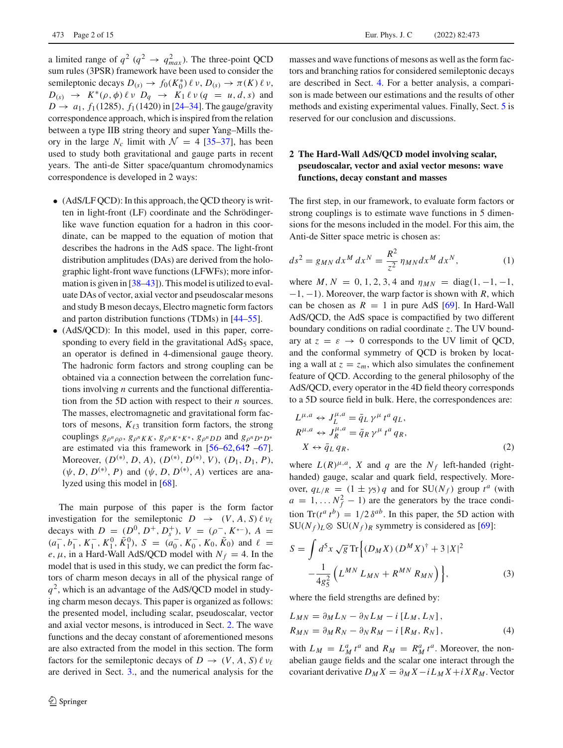a limited range of  $q^2$  ( $q^2 \rightarrow q_{max}^2$ ). The three-point QCD sum rules (3PSR) framework have been used to consider the semileptonic decays  $D_{(s)} \to f_0(K_0^*) \ell \nu, D_{(s)} \to \pi(K) \ell \nu$ ,  $D_{(s)} \rightarrow K^*(\rho, \phi) \ell \nu \ D_q \rightarrow K_1 \ell \nu (q = u, d, s)$  and  $D \to a_1, f_1(1285), f_1(1420)$  in [\[24](#page-14-5)[–34](#page-14-6)]. The gauge/gravity correspondence approach, which is inspired from the relation between a type IIB string theory and super Yang–Mills theory in the large  $N_c$  limit with  $\mathcal{N} = 4$  [\[35](#page-14-7)[–37\]](#page-14-8), has been used to study both gravitational and gauge parts in recent years. The anti-de Sitter space/quantum chromodynamics correspondence is developed in 2 ways:

- (AdS/LF QCD): In this approach, the QCD theory is written in light-front (LF) coordinate and the Schrödingerlike wave function equation for a hadron in this coordinate, can be mapped to the equation of motion that describes the hadrons in the AdS space. The light-front distribution amplitudes (DAs) are derived from the holographic light-front wave functions (LFWFs); more infor-mation is given in [\[38](#page-14-9)[–43](#page-14-10)]). This model is utilized to evaluate DAs of vector, axial vector and pseudoscalar mesons and study B meson decays, Electro magnetic form factors and parton distribution functions (TDMs) in [\[44](#page-14-11)[–55](#page-14-12)].
- (AdS/QCD): In this model, used in this paper, corresponding to every field in the gravitational  $AdS_5$  space, an operator is defined in 4-dimensional gauge theory. The hadronic form factors and strong coupling can be obtained via a connection between the correlation functions involving *n* currents and the functional differentiation from the 5D action with respect to their *n* sources. The masses, electromagnetic and gravitational form factors of mesons,  $K_{\ell 3}$  transition form factors, the strong couplings  $g_{\rho^n \rho \rho}, g_{\rho^n K K}, g_{\rho^n K^* K^*}, g_{\rho^n D}$  and  $g_{\rho^n D^* D^*}$ are estimated via this framework in [\[56](#page-14-13)[–62](#page-14-14)[,64](#page-14-15)**?** [–67](#page-14-16)]. Moreover, (*D*(∗) , *D*, *A*), (*D*(∗) , *D*(∗) , *V* ), (*D*1, *D*1, *P*),  $(\psi, D, D^{(*)}, P)$  and  $(\psi, D, D^{(*)}, A)$  vertices are analyzed using this model in [\[68\]](#page-14-17).

The main purpose of this paper is the form factor investigation for the semileptonic  $D \rightarrow (V, A, S) \ell \nu_{\ell}$ decays with  $D = (D^0, D^+, D_s^+), V = (\rho^-, K^{*-}), A =$  $(a_1^-, b_1^-, K_1^-, K_1^0, \bar{K}_1^0), S = (a_0^-, K_0^-, K_0, \bar{K}_0)$  and  $\ell =$ *e*,  $\mu$ , in a Hard-Wall AdS/QCD model with  $N_f = 4$ . In the model that is used in this study, we can predict the form factors of charm meson decays in all of the physical range of  $q<sup>2</sup>$ , which is an advantage of the AdS/QCD model in studying charm meson decays. This paper is organized as follows: the presented model, including scalar, pseudoscalar, vector and axial vector mesons, is introduced in Sect. [2.](#page-1-0) The wave functions and the decay constant of aforementioned mesons are also extracted from the model in this section. The form factors for the semileptonic decays of  $D \to (V, A, S) \ell \nu_{\ell}$ are derived in Sect. [3.](#page-4-0), and the numerical analysis for the

masses and wave functions of mesons as well as the form factors and branching ratios for considered semileptonic decays are described in Sect. [4.](#page-7-0) For a better analysis, a comparison is made between our estimations and the results of other methods and existing experimental values. Finally, Sect. [5](#page-12-0) is reserved for our conclusion and discussions.

# <span id="page-1-0"></span>**2 The Hard-Wall AdS/QCD model involving scalar, pseudoscalar, vector and axial vector mesons: wave functions, decay constant and masses**

The first step, in our framework, to evaluate form factors or strong couplings is to estimate wave functions in 5 dimensions for the mesons included in the model. For this aim, the Anti-de Sitter space metric is chosen as:

$$
ds^{2} = g_{MN} dx^{M} dx^{N} = \frac{R^{2}}{z^{2}} \eta_{MN} dx^{M} dx^{N},
$$
 (1)

where *M*,  $N = 0, 1, 2, 3, 4$  and  $\eta_{MN} = \text{diag}(1, -1, -1,$ −1, −1). Moreover, the warp factor is shown with *R*, which can be chosen as  $R = 1$  in pure AdS [\[69](#page-14-18)]. In Hard-Wall AdS/QCD, the AdS space is compactified by two different boundary conditions on radial coordinate *z*. The UV boundary at  $z = \varepsilon \rightarrow 0$  corresponds to the UV limit of QCD, and the conformal symmetry of QCD is broken by locating a wall at  $z = z_m$ , which also simulates the confinement feature of QCD. According to the general philosophy of the AdS/QCD, every operator in the 4D field theory corresponds to a 5D source field in bulk. Here, the correspondences are:

$$
L^{\mu,a} \leftrightarrow J_L^{\mu,a} = \bar{q}_L \gamma^{\mu} t^a q_L,
$$
  
\n
$$
R^{\mu,a} \leftrightarrow J_R^{\mu,a} = \bar{q}_R \gamma^{\mu} t^a q_R,
$$
  
\n
$$
X \leftrightarrow \bar{q}_L q_R,
$$
\n(2)

where  $L(R)^{\mu,a}$ , *X* and *q* are the  $N_f$  left-handed (righthanded) gauge, scalar and quark field, respectively. Moreover,  $q_{L/R} = (1 \pm \gamma_5) q$  and for  $SU(N_f)$  group  $t^a$  (with  $a = 1, \ldots N_f^2 - 1$  are the generators by the trace condition  $\text{Tr}(t^a t^b) = 1/2 \delta^{ab}$ . In this paper, the 5D action with  $SU(N_f)_L \otimes SU(N_f)_R$  symmetry is considered as [\[69\]](#page-14-18):

<span id="page-1-1"></span>
$$
S = \int d^{5}x \sqrt{g} \text{Tr} \left\{ (D_{M}X) (D^{M}X)^{\dagger} + 3 |X|^{2} - \frac{1}{4g_{5}^{2}} \left( L^{MN} L_{MN} + R^{MN} R_{MN} \right) \right\},
$$
 (3)

where the field strengths are defined by:

$$
L_{MN} = \partial_M L_N - \partial_N L_M - i [L_M, L_N],
$$
  
\n
$$
R_{MN} = \partial_M R_N - \partial_N R_M - i [R_M, R_N],
$$
\n(4)

with  $L_M = L_M^a t^a$  and  $R_M = R_M^a t^a$ . Moreover, the nonabelian gauge fields and the scalar one interact through the covariant derivative  $D_M X = \partial_M X - i L_M X + i X R_M$ . Vector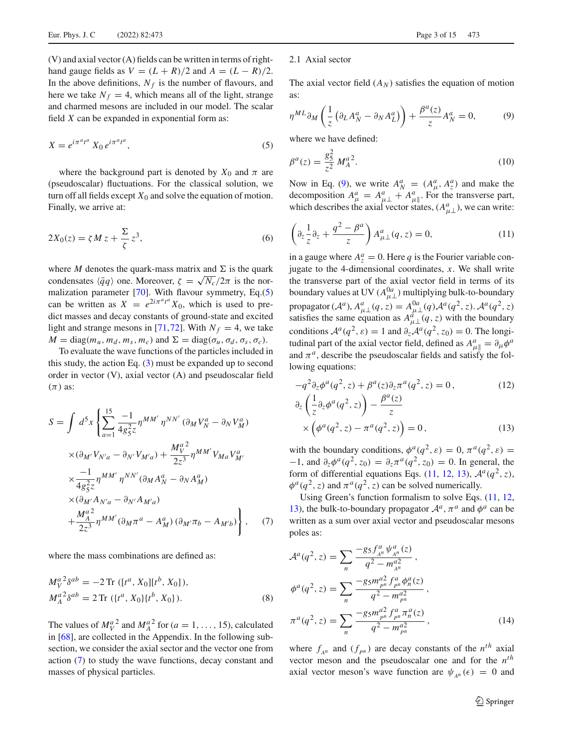(V) and axial vector (A) fields can be written in terms of righthand gauge fields as  $V = (L + R)/2$  and  $A = (L - R)/2$ . In the above definitions,  $N_f$  is the number of flavours, and here we take  $N_f = 4$ , which means all of the light, strange and charmed mesons are included in our model. The scalar field *X* can be expanded in exponential form as:

<span id="page-2-0"></span>
$$
X = e^{i\pi^a t^a} X_0 e^{i\pi^a t^a}, \tag{5}
$$

where the background part is denoted by  $X_0$  and  $\pi$  are (pseudoscalar) fluctuations. For the classical solution, we turn off all fields except  $X_0$  and solve the equation of motion. Finally, we arrive at:

$$
2X_0(z) = \zeta M z + \frac{\Sigma}{\zeta} z^3, \tag{6}
$$

where *M* denotes the quark-mass matrix and  $\Sigma$  is the quark condensates  $\langle \bar{q}q \rangle$  one. Moreover,  $\zeta = \sqrt{N_c}/2\pi$  is the normalization parameter [\[70\]](#page-14-19). With flavour symmetry, Eq.[\(5\)](#page-2-0) can be written as  $X = e^{2i\pi^a t^a} X_0$ , which is used to predict masses and decay constants of ground-state and excited light and strange mesons in [\[71](#page-14-20)[,72](#page-14-21)]. With  $N_f = 4$ , we take  $M = \text{diag}(m_u, m_d, m_s, m_c)$  and  $\Sigma = \text{diag}(\sigma_u, \sigma_d, \sigma_s, \sigma_c)$ .

To evaluate the wave functions of the particles included in this study, the action Eq.  $(3)$  must be expanded up to second order in vector (V), axial vector (A) and pseudoscalar field  $(\pi)$  as:

<span id="page-2-1"></span>
$$
S = \int d^{5}x \left\{ \sum_{a=1}^{15} \frac{-1}{4g_{5}^{2}z} \eta^{MM'} \eta^{NN'} (\partial_{M}V_{N}^{a} - \partial_{N}V_{M}^{a}) \times (\partial_{M'}V_{N'a} - \partial_{N'}V_{M'a}) + \frac{M_{V}^{a^{2}}}{2z^{3}} \eta^{MM'} V_{Ma} V_{M'}^{a} \times \frac{-1}{4g_{5}^{2}z} \eta^{MM'} \eta^{NN'} (\partial_{M}A_{N}^{a} - \partial_{N}A_{M}^{a}) \times (\partial_{M'}A_{N'a} - \partial_{N'}A_{M'a}) + \frac{M_{A}^{a^{2}}}{2z^{3}} \eta^{MM'} (\partial_{M}\pi^{a} - A_{M}^{a}) (\partial_{M'}\pi_{b} - A_{M'b}) \right\}, \quad (7)
$$

where the mass combinations are defined as:

$$
M_V^{a^2} \delta^{ab} = -2 \operatorname{Tr} \left( [t^a, X_0] [t^b, X_0] \right),
$$
  
\n
$$
M_A^{a^2} \delta^{ab} = 2 \operatorname{Tr} \left( \{ t^a, X_0 \} \{ t^b, X_0 \} \right).
$$
\n(8)

The values of  $M_V^{a^2}$  and  $M_A^{a^2}$  for (*a* = 1, ..., 15), calculated in [\[68\]](#page-14-17), are collected in the Appendix. In the following subsection, we consider the axial sector and the vector one from action [\(7\)](#page-2-1) to study the wave functions, decay constant and masses of physical particles.

#### 2.1 Axial sector

The axial vector field  $(A_N)$  satisfies the equation of motion as:

<span id="page-2-2"></span>
$$
\eta^{ML}\partial_M\left(\frac{1}{z}\left(\partial_L A_N^a - \partial_N A_L^a\right)\right) + \frac{\beta^a(z)}{z}A_N^a = 0,\tag{9}
$$

where we have defined:

$$
\beta^a(z) = \frac{g_5^2}{z^2} M_A^{a\,2}.
$$
\n(10)

Now in Eq. [\(9\)](#page-2-2), we write  $A_N^a = (A_\mu^a, A_z^a)$  and make the decomposition  $A^a_\mu = A^a_{\mu\perp} + A^a_{\mu\parallel}$ . For the transverse part, which describes the axial vector states,  $(A_{\mu\perp}^a)$ , we can write:

<span id="page-2-3"></span>
$$
\left(\partial_z \frac{1}{z}\partial_z + \frac{q^2 - \beta^a}{z}\right) A^a_{\mu\perp}(q, z) = 0,\tag{11}
$$

in a gauge where  $A_z^a = 0$ . Here *q* is the Fourier variable conjugate to the 4-dimensional coordinates, *x*. We shall write the transverse part of the axial vector field in terms of its boundary values at UV  $(A_{\mu\perp}^{0a})$  multiplying bulk-to-boundary propagator  $(A^a)$ ,  $A^a_{\mu\perp}(q, z) = A^{0a}_{\mu\perp}(q)A^a(q^2, z)$ .  $A^a(q^2, z)$  satisfies the same equation as  $A^a_{\mu\perp}(q, z)$  with the boundary conditions  $\mathcal{A}^a(q^2, \varepsilon) = 1$  and  $\partial_z \mathcal{A}^a(q^2, z_0) = 0$ . The longitudinal part of the axial vector field, defined as  $A^a_{\mu} = \partial_\mu \phi^a$ and  $\pi^a$ , describe the pseudoscalar fields and satisfy the following equations:

<span id="page-2-4"></span>
$$
-q^{2}\partial_{z}\phi^{a}(q^{2}, z) + \beta^{a}(z)\partial_{z}\pi^{a}(q^{2}, z) = 0, \qquad (12)
$$

$$
\partial_z \left( \frac{1}{z} \partial_z \phi^a(q^2, z) \right) - \frac{\beta^a(z)}{z} \times \left( \phi^a(q^2, z) - \pi^a(q^2, z) \right) = 0,
$$
\n(13)

with the boundary conditions,  $\phi^a(q^2, \varepsilon) = 0$ ,  $\pi^a(q^2, \varepsilon) =$  $-1$ , and  $\partial_z \phi^a(q^2, z_0) = \partial_z \pi^a(q^2, z_0) = 0$ . In general, the form of differential equations Eqs. [\(11,](#page-2-3) [12,](#page-2-4) [13\)](#page-2-4),  $\mathcal{A}^{a}(q^{2}, z)$ ,  $\phi^a(q^2, z)$  and  $\pi^a(q^2, z)$  can be solved numerically.

Using Green's function formalism to solve Eqs. [\(11,](#page-2-3) [12,](#page-2-4) [13\)](#page-2-4), the bulk-to-boundary propagator  $A^a$ ,  $\pi^a$  and  $\phi^a$  can be written as a sum over axial vector and pseudoscalar mesons poles as:

$$
\mathcal{A}^{a}(q^{2}, z) = \sum_{n} \frac{-g_{5} f_{A^{n}}^{a} \psi_{A^{n}}^{a}(z)}{q^{2} - m_{A^{n}}^{a2}},
$$
  
\n
$$
\phi^{a}(q^{2}, z) = \sum_{n} \frac{-g_{5} m_{p^{n}}^{a2} f_{p^{n}}^{a} \phi_{n}^{a}(z)}{q^{2} - m_{p^{n}}^{a2}},
$$
  
\n
$$
\pi^{a}(q^{2}, z) = \sum_{n} \frac{-g_{5} m_{p^{n}}^{a2} f_{p^{n}}^{a} \pi_{n}^{a}(z)}{q^{2} - m_{p^{n}}^{a2}},
$$
\n(14)

where  $f_{A^n}$  and  $(f_{P^n})$  are decay constants of the  $n^{th}$  axial vector meson and the pseudoscalar one and for the *nth* axial vector meson's wave function are  $\psi_{A^n}(\epsilon) = 0$  and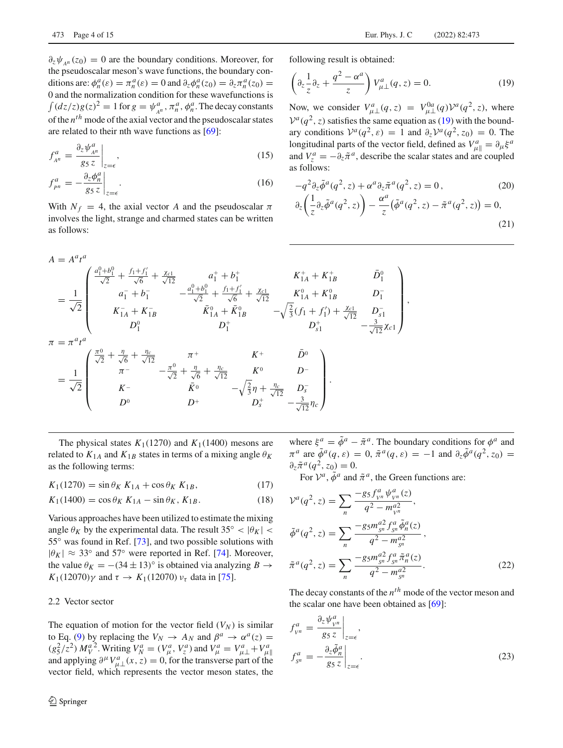$\partial_z \psi_{\mu n}(z_0) = 0$  are the boundary conditions. Moreover, for the pseudoscalar meson's wave functions, the boundary conditions are:  $\phi_n^a(\varepsilon) = \pi_n^a(\varepsilon) = 0$  and  $\partial_z \phi_n^a(z_0) = \partial_z \pi_n^a(z_0) =$ 0 and the normalization condition for these wavefunctions is  $\int (dz/z)g(z)^2 = 1$  for  $g = \psi_{A^n}^a$ ,  $\pi_n^a$ ,  $\phi_n^a$ . The decay constants of the *nth* mode of the axial vector and the pseudoscalar states are related to their nth wave functions as [\[69](#page-14-18)]:

$$
f_{A^n}^a = \frac{\partial_z \psi_{A^n}^a}{g_5 z} \bigg|_{z=\epsilon},\tag{15}
$$

$$
f_{pn}^a = -\frac{\partial_z \phi_n^a}{g_5 z}\bigg|_{z=\epsilon}.\tag{16}
$$

With  $N_f = 4$ , the axial vector *A* and the pseudoscalar  $\pi$ involves the light, strange and charmed states can be written as follows:

following result is obtained:

<span id="page-3-0"></span>
$$
\left(\partial_z \frac{1}{z}\partial_z + \frac{q^2 - \alpha^a}{z}\right) V^a_{\mu\perp}(q, z) = 0.
$$
 (19)

Now, we consider  $V_{\mu\perp}^a(q, z) = V_{\mu\perp}^{0a}(q) V^a(q^2, z)$ , where  $V^a(q^2, z)$  satisfies the same equation as [\(19\)](#page-3-0) with the boundary conditions  $V^a(q^2, \varepsilon) = 1$  and  $\partial_z V^a(q^2, z_0) = 0$ . The longitudinal parts of the vector field, defined as  $V^a_{\mu\parallel} = \partial_\mu \xi^a$ and  $V_z^a = -\partial_z \tilde{\pi}^a$ , describe the scalar states and are coupled as follows:

$$
-q^2 \partial_z \tilde{\phi}^a(q^2, z) + \alpha^a \partial_z \tilde{\pi}^a(q^2, z) = 0, \qquad (20)
$$

$$
\partial_z \left( \frac{1}{z} \partial_z \tilde{\phi}^a(q^2, z) \right) - \frac{\alpha^a}{z} \left( \tilde{\phi}^a(q^2, z) - \tilde{\pi}^a(q^2, z) \right) = 0,
$$
\n(21)

,

$$
A = A^{a}t^{a}
$$
\n
$$
= \frac{1}{\sqrt{2}} \begin{pmatrix} \frac{a_{1}^{0} + b_{1}^{0}}{\sqrt{2}} + \frac{f_{1} + f_{1}'}{\sqrt{6}} + \frac{\chi_{c1}}{\sqrt{12}} & a_{1}^{+} + b_{1}^{+} & K_{1A}^{+} + K_{1B}^{+} & \bar{D}_{1}^{0} \\ a_{1}^{-} + b_{1}^{-} - \frac{a_{1}^{0} + b_{1}^{0}}{\sqrt{2}} + \frac{f_{1} + f_{1}'}{\sqrt{6}} + \frac{\chi_{c1}}{\sqrt{12}} & K_{1A}^{0} + K_{1B}^{0} & D_{1}^{-} \\ K_{1A}^{-} + K_{1B}^{-} & \bar{K}_{1A}^{0} + \bar{K}_{1B}^{0} & -\sqrt{\frac{2}{3}}(f_{1} + f_{1}') + \frac{\chi_{c1}}{\sqrt{12}} & D_{s1}^{-} \\ D_{1}^{0} & D_{1}^{+} & D_{s1}^{+} & D_{s1}^{+} \\ \pi = \pi^{a}t^{a} & \pi = \pi^{a}t^{a} & \pi = -\frac{\pi^{a}}{\sqrt{2}} + \frac{\eta_{c}}{\sqrt{12}} & \pi^{+} & K^{+} & \bar{D}^{0} \\ \pi^{-} - \frac{\pi^{0}}{\sqrt{2}} + \frac{\eta_{c}}{\sqrt{6}} + \frac{\eta_{c}}{\sqrt{12}} & K^{0} & D^{-} \\ K^{-} & \bar{K}^{0} & -\sqrt{\frac{2}{3}}\eta + \frac{\eta_{c}}{\sqrt{12}} & D_{s}^{-} \\ D_{0}^{+} & D_{s}^{+} & -\frac{3}{\sqrt{12}}\eta_{c} \end{pmatrix}.
$$

The physical states  $K_1(1270)$  and  $K_1(1400)$  mesons are related to  $K_{1A}$  and  $K_{1B}$  states in terms of a mixing angle  $\theta_K$ as the following terms:

<span id="page-3-2"></span> $K_1(1270) = \sin \theta_K K_{1A} + \cos \theta_K K_{1B},$  (17)

$$
K_1(1400) = \cos \theta_K K_{1A} - \sin \theta_K, K_{1B}.
$$
 (18)

Various approaches have been utilized to estimate the mixing angle  $\theta_K$  by the experimental data. The result 35° <  $|\theta_K|$  < 55° was found in Ref. [\[73\]](#page-14-22), and two possible solutions with  $|\theta_K| \approx 33^\circ$  and 57° were reported in Ref. [\[74](#page-14-23)]. Moreover, the value  $\theta_K = -(34 \pm 13)^\circ$  is obtained via analyzing  $B \to$ *K*<sub>1</sub>(12070)γ and  $\tau \to K_1$ (12070)  $\nu_{\tau}$  data in [\[75](#page-14-24)].

## 2.2 Vector sector

The equation of motion for the vector field  $(V_N)$  is similar to Eq. [\(9\)](#page-2-2) by replacing the  $V_N \rightarrow A_N$  and  $\beta^a \rightarrow \alpha^a(z)$  =  $(g_5^2/z^2) M_V^{a^2}$ . Writing  $V_N^a = (V_\mu^a, V_z^a)$  and  $V_\mu^a = V_{\mu \perp}^a + V_{\mu \|}^a$ <br>and applying  $\partial^\mu V_{\mu \perp}^a(x, z) = 0$ , for the transverse part of the vector field, which represents the vector meson states, the where  $\xi^a = \tilde{\phi}^a - \tilde{\pi}^a$ . The boundary conditions for  $\phi^a$  and  $\pi^a$  are  $\tilde{\phi}^a(q,\varepsilon) = 0$ ,  $\tilde{\pi}^a(q,\varepsilon) = -1$  and  $\partial_z \tilde{\phi}^a(q^2, z_0) =$  $\partial_z \tilde{\pi}^a(q^2, z_0) = 0.$ 

For  $V^a$ ,  $\tilde{\phi}^a$  and  $\tilde{\pi}^a$ , the Green functions are:

$$
\mathcal{V}^{a}(q^{2}, z) = \sum_{n} \frac{-g_{5} f_{\nu n}^{a} \psi_{\nu n}^{a}(z)}{q^{2} - m_{\nu n}^{a2}},
$$
  
\n
$$
\tilde{\phi}^{a}(q^{2}, z) = \sum_{n} \frac{-g_{5} m_{\nu n}^{a2} f_{\nu n}^{a} \tilde{\phi}_{n}^{a}(z)}{q^{2} - m_{\nu n}^{a2}},
$$
  
\n
$$
\tilde{\pi}^{a}(q^{2}, z) = \sum_{n} \frac{-g_{5} m_{\nu n}^{a2} f_{\nu n}^{a} \tilde{\pi}_{n}^{a}(z)}{q^{2} - m_{\nu n}^{a2}}.
$$
\n(22)

The decay constants of the *nth* mode of the vector meson and the scalar one have been obtained as [\[69\]](#page-14-18):

<span id="page-3-1"></span>
$$
f_{\nu^n}^a = \frac{\partial_z \psi_{\nu^n}^a}{g_5 z} \Big|_{z=\epsilon},
$$
  

$$
f_{s^n}^a = -\frac{\partial_z \tilde{\phi}_n^a}{g_5 z} \Big|_{z=\epsilon}.
$$
 (23)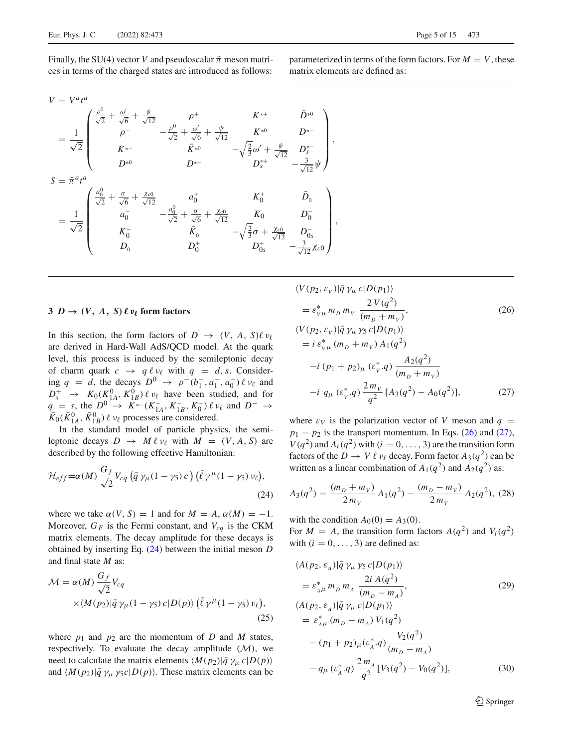Finally, the SU(4) vector *V* and pseudoscalar  $\tilde{\pi}$  meson matrices in terms of the charged states are introduced as follows:

parameterized in terms of the form factors. For  $M = V$ , these matrix elements are defined as:

$$
V = V^a t^a
$$

$$
= \frac{1}{\sqrt{2}} \begin{pmatrix} \frac{\rho^{0}}{\sqrt{2}} + \frac{\omega'}{\sqrt{6}} + \frac{\psi}{\sqrt{12}} & \rho^{+} & K^{*+} & \bar{D}^{*0} \\ \rho^{-} & -\frac{\rho^{0}}{\sqrt{2}} + \frac{\omega'}{\sqrt{6}} + \frac{\psi}{\sqrt{12}} & K^{*0} & D^{*-} \\ K^{*-} & \bar{K}^{*0} & -\sqrt{\frac{2}{3}}\omega' + \frac{\psi}{\sqrt{12}} & D^{*-}_{s} \\ D^{*0} & D^{*+} & D^{*+} & D^{*-} \\ D^{*0} & D^{*+} & D^{*+} & D^{*-} \end{pmatrix},
$$
  

$$
= \frac{1}{\sqrt{2}} \begin{pmatrix} \frac{a_{0}^{0}}{\sqrt{2}} + \frac{\sigma}{\sqrt{6}} + \frac{\chi_{c0}}{\sqrt{12}} & a_{0}^{+} & K_{0}^{+} & \bar{D}_{0} \\ a_{0}^{-} & -\frac{a_{0}^{0}}{\sqrt{2}} + \frac{\sigma}{\sqrt{6}} + \frac{\chi_{c0}}{\sqrt{12}} & K_{0} & D_{0}^{-} \\ K_{0}^{-} & \bar{K}_{0} & -\sqrt{\frac{2}{3}}\sigma + \frac{\chi_{c0}}{\sqrt{12}} & D_{0s}^{-} \\ D_{0} & D_{0}^{+} & D_{0s}^{+} & -\frac{3}{\sqrt{12}}\chi_{c0} \end{pmatrix},
$$

# <span id="page-4-0"></span>**3**  $D \rightarrow (V, A, S) \ell \nu_{\ell}$  form factors

In this section, the form factors of  $D \rightarrow (V, A, S) \ell \nu_{\ell}$ are derived in Hard-Wall AdS/QCD model. At the quark level, this process is induced by the semileptonic decay of charm quark  $c \rightarrow q \ell \nu_{\ell}$  with  $q = d, s$ . Considering  $q = d$ , the decays  $D^0 \to \rho^-(b_1^-, a_1^-, a_0^-) \ell \nu_\ell$  and  $D_s^+$   $\rightarrow$   $K_0(K_{1A}^0, K_{1B}^0)$   $\ell \nu_\ell$  have been studied, and for  $q = s$ , the  $D^0 \rightarrow K^{*-}(K_{1A}^-, K_{1B}^-, K_0^-) \ell \nu_\ell$  and  $D^- \rightarrow$  $\bar{K}_0(\bar{K}_{1A}^0, \bar{K}_{1B}^0)$   $\ell$   $\nu_{\ell}$  processes are considered.

In the standard model of particle physics, the semileptonic decays  $D \rightarrow M \ell \nu_{\ell}$  with  $M = (V, A, S)$  are described by the following effective Hamiltonian:

<span id="page-4-1"></span>
$$
\mathcal{H}_{eff} = \alpha(M) \frac{G_f}{\sqrt{2}} V_{cq} \left( \bar{q} \gamma_\mu (1 - \gamma_5) c \right) \left( \bar{\ell} \gamma^\mu (1 - \gamma_5) \nu_\ell \right),\tag{24}
$$

where we take  $\alpha(V, S) = 1$  and for  $M = A$ ,  $\alpha(M) = -1$ . Moreover,  $G_F$  is the Fermi constant, and  $V_{cq}$  is the CKM matrix elements. The decay amplitude for these decays is obtained by inserting Eq. [\(24\)](#page-4-1) between the initial meson *D* and final state *M* as:

<span id="page-4-4"></span>
$$
\mathcal{M} = \alpha(M) \frac{G_f}{\sqrt{2}} V_{cq}
$$
  
 
$$
\times \langle M(p_2) | \bar{q} \gamma_\mu (1 - \gamma_5) c | D(p) \rangle (\bar{\ell} \gamma^\mu (1 - \gamma_5) v_\ell),
$$
  
(25)

where  $p_1$  and  $p_2$  are the momentum of *D* and *M* states, respectively. To evaluate the decay amplitude (*M*), we need to calculate the matrix elements  $\langle M(p_2) | \bar{q} \gamma_\mu c | D(p) \rangle$ and  $\langle M(p_2)|\bar{q} \gamma_\mu \gamma_5 c|D(p)\rangle$ . These matrix elements can be

<span id="page-4-2"></span>
$$
\langle V(p_2, \varepsilon_V) | \bar{q} \gamma_\mu c | D(p_1) \rangle
$$
  
\n
$$
= \varepsilon_{V\mu}^* m_D m_V \frac{2 V(q^2)}{(m_D + m_V)},
$$
  
\n
$$
\langle V(p_2, \varepsilon_V) | \bar{q} \gamma_\mu \gamma_5 c | D(p_1) \rangle
$$
  
\n
$$
= i \varepsilon_{V\mu}^* (m_D + m_V) A_1(q^2)
$$
  
\n
$$
-i (p_1 + p_2)_\mu (\varepsilon_V^* q) \frac{A_2(q^2)}{(m_D + m_V)}
$$
  
\n
$$
-i q_\mu (\varepsilon_V^* q) \frac{2m_V}{q^2} [A_3(q^2) - A_0(q^2)],
$$
\n(27)

where  $\varepsilon_V$  is the polarization vector of *V* meson and  $q =$  $p_1 - p_2$  is the transport momentum. In Eqs. [\(26\)](#page-4-2) and [\(27\)](#page-4-2),  $V(q^2)$  and  $A_i(q^2)$  with  $(i = 0, \ldots, 3)$  are the transition form factors of the  $D \to V \ell \nu_{\ell}$  decay. Form factor  $A_3(q^2)$  can be written as a linear combination of  $A_1(q^2)$  and  $A_2(q^2)$  as:

$$
A_3(q^2) = \frac{(m_D + m_V)}{2m_V} A_1(q^2) - \frac{(m_D - m_V)}{2m_V} A_2(q^2), \tag{28}
$$

with the condition  $A_0(0) = A_3(0)$ . For  $M = A$ , the transition form factors  $A(q^2)$  and  $V_i(q^2)$ with  $(i = 0, \ldots, 3)$  are defined as:

<span id="page-4-3"></span>
$$
\langle A(p_2, \varepsilon_A) | \bar{q} \gamma_\mu \gamma_5 c | D(p_1) \rangle
$$
  
\n
$$
= \varepsilon_{A\mu}^* m_D m_A \frac{2i A(q^2)}{(m_D - m_A)},
$$
  
\n
$$
\langle A(p_2, \varepsilon_A) | \bar{q} \gamma_\mu c | D(p_1) \rangle
$$
  
\n
$$
= \varepsilon_{A\mu}^* (m_D - m_A) V_1(q^2)
$$
  
\n
$$
- (p_1 + p_2)_{\mu} (\varepsilon_A^* q) \frac{V_2(q^2)}{(m_D - m_A)}
$$
  
\n
$$
- q_\mu (\varepsilon_A^* q) \frac{2 m_A}{q^2} [V_3(q^2) - V_0(q^2)],
$$
\n(30)

<sup>2</sup> Springer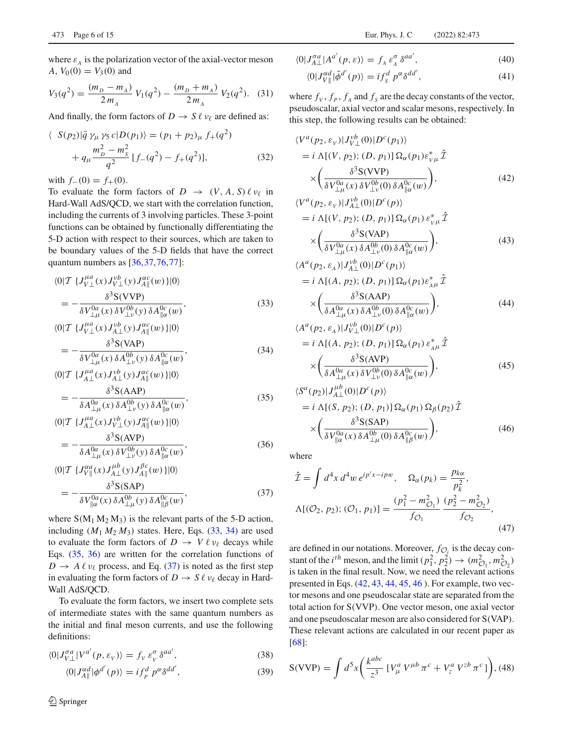where  $\varepsilon_A$  is the polarization vector of the axial-vector meson *A*,  $V_0(0) = V_3(0)$  and

$$
V_3(q^2) = \frac{(m_D - m_A)}{2m_A} V_1(q^2) - \frac{(m_D + m_A)}{2m_A} V_2(q^2).
$$
 (31)

And finally, the form factors of  $D \to S \ell \nu_{\ell}$  are defined as:

<span id="page-5-3"></span>
$$
\langle S(p_2)|\bar{q} \gamma_\mu \gamma_5 c|D(p_1)\rangle = (p_1 + p_2)_\mu f_+(q^2) + q_\mu \frac{m_p^2 - m_S^2}{q^2} [f_-(q^2) - f_+(q^2)],
$$
(32)

with  $f_-(0) = f_+(0)$ .

To evaluate the form factors of  $D \rightarrow (V, A, S) \ell \nu_{\ell}$  in Hard-Wall AdS/QCD, we start with the correlation function, including the currents of 3 involving particles. These 3-point functions can be obtained by functionally differentiating the 5-D action with respect to their sources, which are taken to be boundary values of the 5-D fields that have the correct quantum numbers as [\[36](#page-14-25),[37](#page-14-8),[76,](#page-14-26)[77\]](#page-14-27):

<span id="page-5-0"></span>
$$
\langle 0|\mathcal{T}\ \{J_{V\perp}^{\mu a}(x)J_{V\perp}^{\nu b}(y)J_{A\|}^{\alpha c}(w)\}|0\rangle
$$
  
=\frac{\delta^3 S(VVP)}{\delta V\_{\perp\mu}^{0a}(x)\,\delta V\_{\perp\nu}^{0b}(y)\,\delta A\_{\parallel\alpha}^{0c}(w)},\tag{33}

$$
\langle 0|\mathcal{T}\ \{J_{V\perp}^{\mu a}(x)J_{A\perp}^{\nu b}(y)J_{A\parallel}^{\alpha c}(w)\}|0\rangle
$$
  
= 
$$
-\frac{\delta^3 S(\text{VAP})}{\delta V_{\perp\mu}^{0a}(x)\,\delta A_{\perp\nu}^{0b}(y)\,\delta A_{\parallel\alpha}^{0c}(w)},
$$
(34)

$$
= -\frac{\partial^2 \mathcal{L}(H)}{\partial V_{\perp \mu}^0(x) \, \partial A_{\perp \nu}^0(y) \, \partial A_{\parallel \alpha}^{0c}(w)},
$$
\n
$$
\langle 0|T \, \{J_{A\perp}^{\mu a}(x) J_{A\perp}^{\nu b}(y) J_{A\parallel}^{\alpha c}(w) \} |0\rangle
$$
\n
$$
\delta^3 S(AAP)
$$
\n(34)

$$
= -\frac{\partial^2 \psi(x, \Delta t)}{\partial A_{\perp \mu}^{0a}(x) \, \delta A_{\perp \nu}^{0b}(y) \, \delta A_{\parallel \alpha}^{0c}(w)},\tag{35}
$$

$$
\langle 0|\mathcal{T}\ \{J_{A\perp}^{\mu a}(x)J_{V\perp}^{\nu b}(y)J_{A\|}^{\alpha c}(w)\}|0\rangle
$$
  
= 
$$
-\frac{\delta^{3}S(\text{AVP})}{\delta A_{\perp\mu}^{0a}(x)\,\delta V_{\perp\nu}^{0b}(y)\,\delta A_{\parallel\alpha}^{0c}(w)},
$$
(36)

$$
\langle 0|\mathcal{T}\ \{J_{V\parallel}^{\alpha a}(x)J_{A\perp}^{\mu b}(y)J_{A\parallel}^{\beta c}(w)\}|0\rangle
$$
  
= 
$$
-\frac{\delta^3 S(SAP)}{\delta V_{\parallel \alpha}^{0a}(x)\delta A_{\perp \mu}^{0b}(y)\delta A_{\parallel \beta}^{0c}(w)},
$$
(37)

where  $S(M_1 M_2 M_3)$  is the relevant parts of the 5-D action, including  $(M_1 M_2 M_3)$  states. Here, Eqs.  $(33, 34)$  $(33, 34)$  $(33, 34)$  are used to evaluate the form factors of  $D \to V \ell \nu_{\ell}$  decays while Eqs. [\(35,](#page-5-0) [36\)](#page-5-0) are written for the correlation functions of  $D \to A \ell \nu_{\ell}$  process, and Eq. [\(37\)](#page-5-0) is noted as the first step in evaluating the form factors of  $D \to S \ell \nu_{\ell}$  decay in Hard-Wall AdS/QCD.

To evaluate the form factors, we insert two complete sets of intermediate states with the same quantum numbers as the initial and final meson currents, and use the following definitions:

$$
\langle 0|J_{V\perp}^{\sigma a}|V^{a'}(p,\varepsilon_V)\rangle = f_V \varepsilon_V^{\sigma} \delta^{aa'},\tag{38}
$$

$$
\langle 0|J_{A\parallel}^{\alpha d}|\phi^{d'}(p)\rangle = i f_p^d \ p^{\alpha} \delta^{dd'},\tag{39}
$$

$$
\langle 0|J_{A\perp}^{\sigma a}|A^{a'}(p,\varepsilon)\rangle = f_A \varepsilon_A^{\sigma} \delta^{aa'},\tag{40}
$$

$$
\langle 0|J_{V\parallel}^{\alpha d}|\tilde{\phi}^{d'}(p)\rangle = if_s^d p^{\alpha} \delta^{dd'},\tag{41}
$$

where  $f_V$ ,  $f_P$ ,  $f_A$  and  $f_S$  are the decay constants of the vector, pseudoscalar, axial vector and scalar mesons, respectively. In this step, the following results can be obtained:

<span id="page-5-1"></span>
$$
\langle V^{a}(p_2, \varepsilon_{V}) | J_{V\perp}^{vb}(0) | D^{c}(p_1) \rangle
$$
  
=  $i \Lambda [(V, p_2); (D, p_1)] \Omega_{\alpha}(p_1) \varepsilon_{V\mu}^{*} \hat{\mathcal{I}}$   

$$
\times \left( \frac{\delta^{3} S(VVP)}{\delta V_{\perp\mu}^{0a}(x) \delta V_{\perp V}^{0b}(0) \delta A_{\parallel\alpha}^{0c}(w)} \right),
$$
(42)

$$
\langle V^{a}(p_{2}, \varepsilon_{V})|J_{A\perp}^{\nu b}(0)|D^{c}(p)\rangle
$$
  
=  $i \Lambda[(V, p_{2}); (D, p_{1})] \Omega_{\alpha}(p_{1}) \varepsilon_{V\mu}^{*} \hat{\mathcal{I}}$   

$$
\times \left(\frac{\delta^{3}S(\text{VAP})}{\delta V_{\perp\mu}^{0a}(x) \delta A_{\perp V}^{0b}(0) \delta A_{\parallel\alpha}^{0c}(w)}\right),
$$
(43)

$$
\langle A^{a}(p_{2}, \varepsilon_{A}) | J_{A\perp}^{vb}(0) | D^{c}(p_{1}) \rangle
$$
  
=  $i \Lambda [(A, p_{2}); (D, p_{1})] \Omega_{\alpha}(p_{1}) \varepsilon_{A\mu}^{*} \hat{\mathcal{I}}$   

$$
\times \left( \frac{\delta^{3} S(AAP)}{\delta A_{\perp\mu}^{0a}(x) \delta A_{\perp\nu}^{0b}(0) \delta A_{\parallel\alpha}^{0c}(w)} \right),
$$
(44)

$$
\langle A^{a}(p_{2}, \varepsilon_{A}) | J_{V\perp}^{vb}(0) | D^{c}(p) \rangle
$$
  
=  $i \Lambda[(A, p_{2}); (D, p_{1})] \Omega_{\alpha}(p_{1}) \varepsilon_{A\mu}^{*} \hat{\mathcal{I}}$   

$$
\times \left( \frac{\delta^{3} S(\text{AVP})}{\delta A_{\perp\mu}^{0a}(x) \delta V_{\perp\nu}^{0b}(0) \delta A_{\parallel\alpha}^{0c}(w)} \right), \tag{45}
$$

$$
\langle S^{a}(p_{2})|J_{A\perp}^{\mu b}(0)|D^{c}(p)\rangle
$$
  
=  $i \Lambda[(S, p_{2}); (D, p_{1})] \Omega_{\alpha}(p_{1}) \Omega_{\beta}(p_{2})\hat{\mathcal{I}}$   

$$
\times \left(\frac{\delta^{3}S(SAP)}{\delta V_{\parallel \alpha}^{0a}(x) \delta A_{\perp \mu}^{0b}(0) \delta A_{\parallel \beta}^{0c}(w)}\right),
$$
(46)

where

$$
\hat{\mathcal{I}} = \int d^4x \, d^4w \, e^{ip'x - ipw}, \quad \Omega_\alpha(p_k) = \frac{p_{k\alpha}}{p_k^2},
$$
\n
$$
\Lambda[(\mathcal{O}_2, p_2); (\mathcal{O}_1, p_1)] = \frac{(p_1^2 - m_{\mathcal{O}_1}^2)}{f_{\mathcal{O}_1}} \cdot \frac{(p_2^2 - m_{\mathcal{O}_2}^2)}{f_{\mathcal{O}_2}},
$$
\n(47)

are defined in our notations. Moreover,  $f_{\mathcal{O}_i}$  is the decay constant of the *i*<sup>th</sup> meson, and the limit ( $p_1^2$ ,  $p_2^2$ )  $\rightarrow$  ( $m_{\mathcal{O}_1}^2$ ,  $m_{\mathcal{O}_2}^2$ ) is taken in the final result. Now, we need the relevant actions presented in Eqs. [\(42,](#page-5-1) [43,](#page-5-1) [44,](#page-5-1) [45,](#page-5-1) [46](#page-5-1) ). For example, two vector mesons and one pseudoscalar state are separated from the total action for S(VVP). One vector meson, one axial vector and one pseudoscalar meson are also considered for S(VAP). These relevant actions are calculated in our recent paper as [\[68](#page-14-17)]:

<span id="page-5-2"></span>
$$
S(VVP) = \int d^5x \left( \frac{k^{abc}}{z^3} \left[ V^a_\mu V^{\mu b} \pi^c + V^a_z V^{zb} \pi^c \right] \right), (48)
$$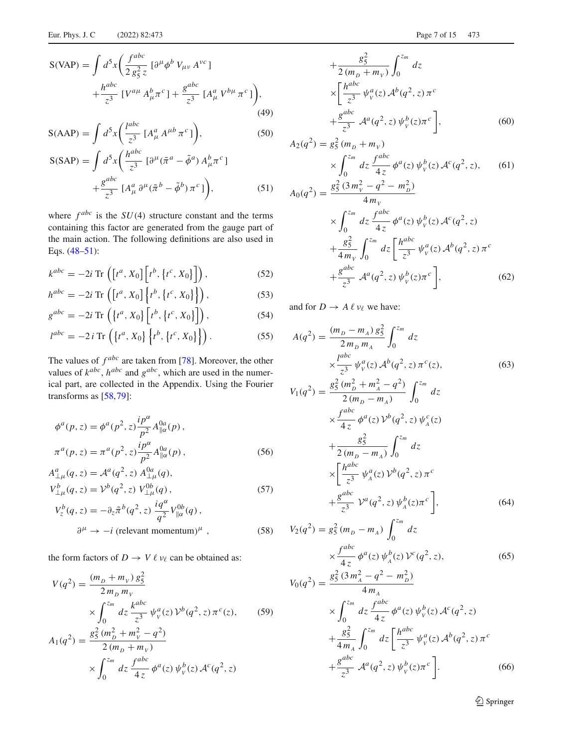$$
S(VAP) = \int d^5x \left( \frac{f^{abc}}{2 g_5^2 z} \left[ \partial^\mu \phi^b V_{\mu\nu} A^{\nu c} \right] + \frac{h^{abc}}{z^3} \left[ V^{a\mu} A^b_\mu \pi^c \right] + \frac{g^{abc}}{z^3} \left[ A^a_\mu V^{b\mu} \pi^c \right] \right), \tag{49}
$$

$$
S(AAP) = \int d^5x \left(\frac{l^{abc}}{z^3} \left[A^a_\mu A^{\mu b} \pi^c\right]\right),\tag{50}
$$

$$
S(SAP) = \int d^5x \left( \frac{h^{abc}}{z^3} \left[ \partial^\mu (\tilde{\pi}^a - \tilde{\phi}^a) A^b_\mu \pi^c \right] + \frac{g^{abc}}{z^3} \left[ A^a_\mu \partial^\mu (\tilde{\pi}^b - \tilde{\phi}^b) \pi^c \right] \right), \tag{51}
$$

where  $f^{abc}$  is the  $SU(4)$  structure constant and the terms containing this factor are generated from the gauge part of the main action. The following definitions are also used in Eqs. [\(48–51\)](#page-5-2):

$$
k^{abc} = -2i \operatorname{Tr} \left( \left[ t^a, X_0 \right] \left[ t^b, \left\{ t^c, X_0 \right\} \right] \right), \tag{52}
$$

$$
h^{abc} = -2i \operatorname{Tr} \left( \left[ t^a, X_0 \right] \left\{ t^b, \left\{ t^c, X_0 \right\} \right\} \right), \tag{53}
$$

$$
g^{abc} = -2i \operatorname{Tr} \left( \left\{ t^a, X_0 \right\} \left[ t^b, \left\{ t^c, X_0 \right\} \right] \right), \tag{54}
$$

$$
l^{abc} = -2 i \operatorname{Tr} \left( \left\{ t^a, X_0 \right\} \left\{ t^b, \left\{ t^c, X_0 \right\} \right\} \right). \tag{55}
$$

The values of  $f^{abc}$  are taken from [\[78](#page-14-28)]. Moreover, the other values of  $k^{abc}$ ,  $h^{abc}$  and  $g^{abc}$ , which are used in the numerical part, are collected in the Appendix. Using the Fourier transforms as [\[58](#page-14-29)[,79](#page-14-30)]:

$$
\phi^{a}(p, z) = \phi^{a}(p^{2}, z) \frac{i p^{\alpha}}{p^{2}} A_{\parallel \alpha}^{0a}(p),
$$
  

$$
\pi^{a}(p, z) = \pi^{a}(p^{2}, z) \frac{i p^{\alpha}}{p^{2}} A_{\parallel \alpha}^{0a}(p),
$$
 (56)

$$
A^{a}_{\perp\mu}(q, z) = \mathcal{A}^{a}(q^{2}, z) A^{0a}_{\perp\mu}(q),
$$
  
\n
$$
V^{b}_{\perp\mu}(q, z) = V^{b}(q^{2}, z) V^{0b}_{\perp\mu}(q),
$$
\n(57)

$$
V_z^b(q, z) = -\partial_z \tilde{\pi}^b(q^2, z) \frac{i q^{\alpha}}{q^2} V_{\parallel \alpha}^{0b}(q) ,
$$
  

$$
\partial^{\mu} \to -i \text{ (relevant momentum)}^{\mu} ,
$$
 (58)

the form factors of  $D \to V \ell \nu_{\ell}$  can be obtained as:

$$
V(q^2) = \frac{(m_D + m_V) g_5^2}{2 m_D m_V}
$$
  
 
$$
\times \int_0^{z_m} dz \frac{k^{abc}}{z^3} \psi_V^a(z) V^b(q^2, z) \pi^c(z),
$$
 (59)

$$
A_1(q^2) = \frac{g_5^2 (m_D^2 + m_V^2 - q^2)}{2 (m_D + m_V)}
$$
  
 
$$
\times \int_0^{z_m} dz \frac{f^{abc}}{4z} \phi^a(z) \psi^b_v(z) \mathcal{A}^c(q^2, z)
$$

$$
+\frac{g_5^2}{2(m_D + m_V)} \int_0^{z_m} dz
$$
  
\n
$$
\times \left[ \frac{h^{abc}}{z^3} \psi^a_{\nu}(z) A^b(q^2, z) \pi^c + \frac{g^{abc}}{z^3} A^a(q^2, z) \psi^b_{\nu}(z) \pi^c \right],
$$
 (60)

$$
A_2(q^2) = g_5^2 (m_D + m_V)
$$
  
\n
$$
\times \int_0^{z_m} dz \frac{f^{abc}}{4z} \phi^a(z) \psi^b_V(z) \mathcal{A}^c(q^2, z),
$$
 (61)  
\n
$$
A_0(q^2) = \frac{g_5^2 (3 m_V^2 - q^2 - m_D^2)}{4 m_V}
$$
  
\n
$$
\times \int_{z_m}^{z_m} d_z \frac{f^{abc}}{4a} \psi^{abc} (a^2 - a^2 - a^2)
$$

$$
\times \int_0^{z_m} dz \frac{f^{abc}}{4z} \phi^a(z) \psi^b_{\nu}(z) \mathcal{A}^c(q^2, z)
$$
  
+ 
$$
\frac{g_5^2}{4m_{\nu}} \int_0^{z_m} dz \left[ \frac{h^{abc}}{z^3} \psi^a_{\nu}(z) \mathcal{A}^b(q^2, z) \pi^c \right]
$$
  
+ 
$$
\frac{g^{abc}}{z^3} \mathcal{A}^a(q^2, z) \psi^b_{\nu}(z) \pi^c \right],
$$
(62)

and for  $D \to A \ell \nu_{\ell}$  we have:

$$
A(q^2) = \frac{(m_D - m_A) g_5^2}{2 m_D m_A} \int_0^{z_m} dz
$$
  
\n
$$
\times \frac{l^{abc}}{z^3} \psi_{\gamma}^a(z) A^b(q^2, z) \pi^c(z),
$$
  
\n
$$
V_1(q^2) = \frac{g_5^2 (m_D^2 + m_A^2 - q^2)}{2 (m_D - m_A)} \int_0^{z_m} dz
$$
  
\n
$$
\times \frac{f^{abc}}{4 z} \phi^a(z) V^b(q^2, z) \psi_A^c(z)
$$
  
\n
$$
+ \frac{g_5^2}{2 (m_D - m_A)} \int_0^{z_m} dz
$$
 (63)

$$
\times \left[ \frac{h^{abc}}{z^3} \psi_A^a(z) \mathcal{V}^b(q^2, z) \pi^c + \frac{g^{abc}}{z^3} \mathcal{V}^a(q^2, z) \psi_A^b(z) \pi^c \right],
$$
\n(64)

$$
V_2(q^2) = g_5^2 (m_D - m_A) \int_0^{z_m} dz
$$
  

$$
\times \frac{f^{abc}}{4z} \phi^a(z) \psi_A^b(z) \mathcal{V}^c(q^2, z),
$$
  

$$
V_2(q^2) = g_5^2 (3m_A^2 - q^2 - m_D^2)
$$
 (65)

$$
V_0(q^2) = \frac{g_5^2 (3m_A^2 - q^2 - m_D^2)}{4m_A}
$$
  
 
$$
\times \int_0^{z_m} dz \frac{f^{abc}}{4z} \phi^a(z) \psi^b_{\nu}(z) \mathcal{A}^c(q^2, z)
$$
  
 
$$
+ \frac{g_5^2}{4m_A} \int_0^{z_m} dz \left[ \frac{h^{abc}}{z^3} \psi^a_{\nu}(z) \mathcal{A}^b(q^2, z) \pi^c \right]
$$
  
 
$$
+ \frac{g^{abc}}{z^3} \mathcal{A}^a(q^2, z) \psi^b_{\nu}(z) \pi^c \right].
$$
 (66)

<sup>2</sup> Springer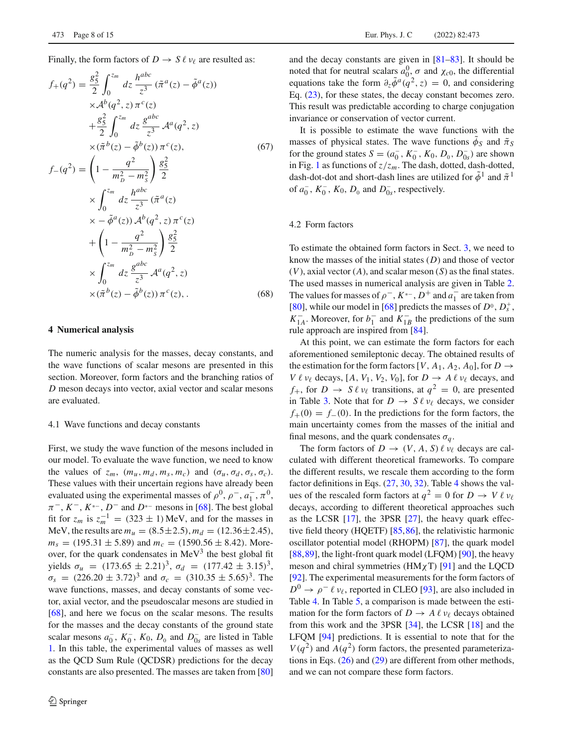Finally, the form factors of  $D \to S \ell \nu_{\ell}$  are resulted as:

$$
f_{+}(q^{2}) = \frac{g_{5}^{2}}{2} \int_{0}^{z_{m}} dz \frac{h^{abc}}{z^{3}} (\tilde{\pi}^{a}(z) - \tilde{\phi}^{a}(z))
$$
  
\n
$$
\times A^{b}(q^{2}, z) \pi^{c}(z)
$$
  
\n
$$
+ \frac{g_{5}^{2}}{2} \int_{0}^{z_{m}} dz \frac{g^{abc}}{z^{3}} A^{a}(q^{2}, z)
$$
  
\n
$$
\times (\tilde{\pi}^{b}(z) - \tilde{\phi}^{b}(z)) \pi^{c}(z),
$$
  
\n
$$
f_{-}(q^{2}) = \left(1 - \frac{q^{2}}{m_{p}^{2} - m_{s}^{2}}\right) \frac{g_{5}^{2}}{2}
$$
  
\n
$$
\times \int_{0}^{z_{m}} dz \frac{h^{abc}}{z^{3}} (\tilde{\pi}^{a}(z))
$$
  
\n
$$
\times - \tilde{\phi}^{a}(z)) A^{b}(q^{2}, z) \pi^{c}(z)
$$
  
\n
$$
+ \left(1 - \frac{q^{2}}{m_{p}^{2} - m_{s}^{2}}\right) \frac{g_{5}^{2}}{2}
$$
  
\n
$$
\times \int_{0}^{z_{m}} dz \frac{g^{abc}}{z^{3}} A^{a}(q^{2}, z)
$$
  
\n
$$
\times (\tilde{\pi}^{b}(z) - \tilde{\phi}^{b}(z)) \pi^{c}(z),
$$
  
\n(68)

#### <span id="page-7-0"></span>**4 Numerical analysis**

The numeric analysis for the masses, decay constants, and the wave functions of scalar mesons are presented in this section. Moreover, form factors and the branching ratios of *D* meson decays into vector, axial vector and scalar mesons are evaluated.

#### 4.1 Wave functions and decay constants

First, we study the wave function of the mesons included in our model. To evaluate the wave function, we need to know the values of  $z_m$ ,  $(m_u, m_d, m_s, m_c)$  and  $(\sigma_u, \sigma_d, \sigma_s, \sigma_c)$ . These values with their uncertain regions have already been evaluated using the experimental masses of  $\rho^0$ ,  $\rho^-, a_1^-, \pi^0$ ,  $\pi^-$ ,  $K^-$ ,  $K^{*-}$ ,  $D^-$  and  $D^{*-}$  mesons in [\[68\]](#page-14-17). The best global fit for  $z_m$  is  $z_m^{-1} = (323 \pm 1)$  MeV, and for the masses in MeV, the results are  $m_u = (8.5 \pm 2.5), m_d = (12.36 \pm 2.45),$  $m<sub>s</sub> = (195.31 \pm 5.89)$  and  $m<sub>c</sub> = (1590.56 \pm 8.42)$ . Moreover, for the quark condensates in  $MeV<sup>3</sup>$  the best global fit yields  $\sigma_u = (173.65 \pm 2.21)^3$ ,  $\sigma_d = (177.42 \pm 3.15)^3$ ,  $\sigma_s$  = (226.20  $\pm$  3.72)<sup>3</sup> and  $\sigma_c$  = (310.35  $\pm$  5.65)<sup>3</sup>. The wave functions, masses, and decay constants of some vector, axial vector, and the pseudoscalar mesons are studied in [\[68](#page-14-17)], and here we focus on the scalar mesons. The results for the masses and the decay constants of the ground state scalar mesons  $a_0^-, K_0^-, K_0, D_0$  and  $D_{0s}^-$  are listed in Table [1.](#page-8-0) In this table, the experimental values of masses as well as the QCD Sum Rule (QCDSR) predictions for the decay constants are also presented. The masses are taken from [\[80\]](#page-14-31)

and the decay constants are given in [\[81](#page-14-32)[–83](#page-14-33)]. It should be noted that for neutral scalars  $a_0^0$ ,  $\sigma$  and  $\chi_{c0}$ , the differential equations take the form  $\partial_z \tilde{\phi}^a(q^2, z) = 0$ , and considering Eq. [\(23\)](#page-3-1), for these states, the decay constant becomes zero. This result was predictable according to charge conjugation invariance or conservation of vector current.

It is possible to estimate the wave functions with the masses of physical states. The wave functions  $\phi_S$  and  $\tilde{\pi}_S$ for the ground states  $S = (a_0^-, K_0^-, K_0, D_0, D_{0s}^-)$  are shown in Fig. [1](#page-8-1) as functions of  $z/z_m$ . The dash, dotted, dash-dotted, dash-dot-dot and short-dash lines are utilized for  $\tilde{\phi}^1$  and  $\tilde{\pi}^1$ of  $a_0^-, K_0^-, K_0, D_0$  and  $D_{0s}^-,$  respectively.

### 4.2 Form factors

To estimate the obtained form factors in Sect. [3,](#page-4-0) we need to know the masses of the initial states (*D*) and those of vector (*V*), axial vector (*A*), and scalar meson (*S*) as the final states. The used masses in numerical analysis are given in Table [2.](#page-8-2) The values for masses of  $\rho^-, K^{*-}, D^+$  and  $a_1^-$  are taken from [\[80](#page-14-31)], while our model in [\[68\]](#page-14-17) predicts the masses of  $D^0$ ,  $D_s^+$ ,  $K_{1A}^-$ . Moreover, for  $b_1^-$  and  $K_{1B}^-$  the predictions of the sum rule approach are inspired from [\[84\]](#page-14-34).

At this point, we can estimate the form factors for each aforementioned semileptonic decay. The obtained results of the estimation for the form factors  $[V, A_1, A_2, A_0]$ , for  $D \rightarrow$ *V*  $\ell$  *v*<sub> $\ell$ </sub> decays, [*A*, *V*<sub>1</sub>, *V*<sub>2</sub>, *V*<sub>0</sub>], for *D*  $\rightarrow$  *A*  $\ell$  *v*<sub> $\ell$ </sub> decays, and  $f_+$ , for  $D \to S \ell \nu_\ell$  transitions, at  $q^2 = 0$ , are presented in Table [3.](#page-9-0) Note that for  $D \to S \ell \nu_{\ell}$  decays, we consider  $f_{+}(0) = f_{-}(0)$ . In the predictions for the form factors, the main uncertainty comes from the masses of the initial and final mesons, and the quark condensates  $\sigma_q$ .

The form factors of  $D \to (V, A, S) \ell \nu_{\ell}$  decays are calculated with different theoretical frameworks. To compare the different results, we rescale them according to the form factor definitions in Eqs. [\(27,](#page-4-2) [30,](#page-4-3) [32\)](#page-5-3). Table [4](#page-9-1) shows the values of the rescaled form factors at  $q^2 = 0$  for  $D \to V \ell \nu_{\ell}$ decays, according to different theoretical approaches such as the LCSR [\[17](#page-14-35)], the 3PSR [\[27\]](#page-14-36), the heavy quark effective field theory (HQETF) [\[85](#page-14-37)[,86](#page-14-38)], the relativistic harmonic oscillator potential model (RHOPM) [\[87\]](#page-14-39), the quark model [\[88](#page-14-40),[89\]](#page-14-41), the light-front quark model (LFQM) [\[90\]](#page-14-42), the heavy meson and chiral symmetries ( $HM \chi T$ ) [\[91\]](#page-14-43) and the LQCD [\[92](#page-14-44)]. The experimental measurements for the form factors of  $D^0 \rightarrow \rho^- \ell \nu_{\ell}$ , reported in CLEO [\[93\]](#page-14-45), are also included in Table [4.](#page-9-1) In Table [5,](#page-10-0) a comparison is made between the estimation for the form factors of  $D \to A \ell \nu_{\ell}$  decays obtained from this work and the 3PSR [\[34](#page-14-6)], the LCSR [\[18\]](#page-14-0) and the LFQM [\[94\]](#page-14-46) predictions. It is essential to note that for the  $V(q^2)$  and  $A(q^2)$  form factors, the presented parameterizations in Eqs.  $(26)$  and  $(29)$  are different from other methods, and we can not compare these form factors.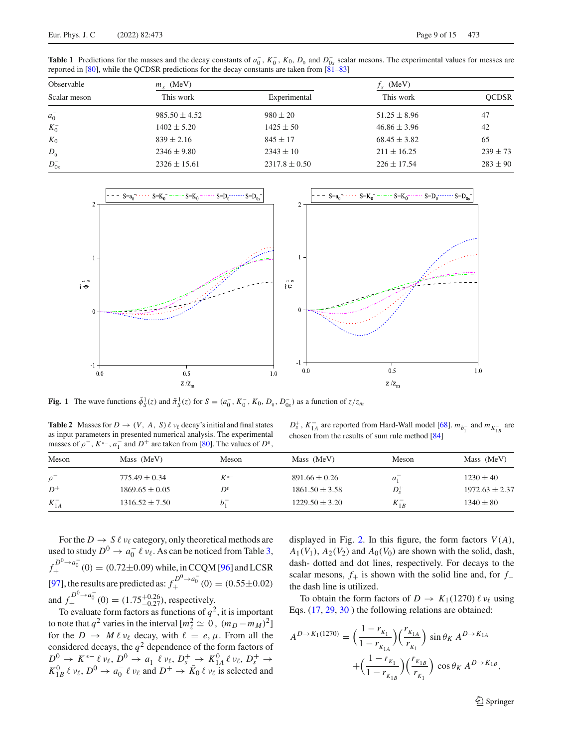<span id="page-8-0"></span>**Table 1** Predictions for the masses and the decay constants of  $a_0^T$ ,  $K_0^T$ ,  $K_0$ ,  $D_0$  and  $D_{0s}^T$  scalar mesons. The experimental values for messes are reported in [\[80](#page-14-31)], while the QCDSR predictions for the decay constants are taken from [\[81](#page-14-32)[–83](#page-14-33)]

| Observable   | $ms$ (MeV)        |                   | $fS$ (MeV)       |              |
|--------------|-------------------|-------------------|------------------|--------------|
| Scalar meson | This work         | Experimental      | This work        | <b>OCDSR</b> |
| $a_0^-$      | $985.50 \pm 4.52$ | $980 \pm 20$      | $51.25 \pm 8.96$ | 47           |
| $K_0^-$      | $1402 \pm 5.20$   | $1425 \pm 50$     | $46.86 \pm 3.96$ | 42           |
| $K_0$        | $839 \pm 2.16$    | $845 \pm 17$      | $68.45 \pm 3.82$ | 65           |
| $D_0$        | $2346 \pm 9.80$   | $2343 \pm 10$     | $211 \pm 16.25$  | $239 \pm 73$ |
| $D_{0s}^-$   | $2326 \pm 15.61$  | $2317.8 \pm 0.50$ | $226 \pm 17.54$  | $283 \pm 90$ |



<span id="page-8-1"></span>**Fig. 1** The wave functions  $\tilde{\phi}_S^1(z)$  and  $\tilde{\pi}_S^1(z)$  for  $S = (a_0^-, K_0^-, K_0, D_0, D_0^-)$  as a function of  $z/z_m$ 

<span id="page-8-2"></span>**Table 2** Masses for  $D \to (V, A, S) \ell \nu_{\ell}$  decay's initial and final states as input parameters in presented numerical analysis. The experimental masses of  $\rho^-$ ,  $K^{*-}$ ,  $a_1^-$  and  $D^+$  are taken from [\[80](#page-14-31)]. The values of  $D^0$ ,

 $D_s^+$ ,  $K_{1A}^-$  are reported from Hard-Wall model [\[68\]](#page-14-17).  $m_{b_1^-}$  and  $m_{K_{1B}^-}$  are chosen from the results of sum rule method [\[84\]](#page-14-34)

| Meson      | Mass (MeV)         | Meson    | Mass (MeV)         | Meson          | Mass (MeV)         |
|------------|--------------------|----------|--------------------|----------------|--------------------|
| $\rho^-$   | $775.49 \pm 0.34$  | $K^{*-}$ | $891.66 \pm 0.26$  | a <sub>1</sub> | $1230 \pm 40$      |
| $D^+$      | $1869.65 \pm 0.05$ | $D^0$    | $1861.50 \pm 3.58$ | $D_{s}^{+}$    | $1972.63 \pm 2.37$ |
| $K_{1A}^-$ | $1316.52 \pm 7.50$ | $b_1$    | $1229.50 \pm 3.20$ | $K_{1B}^-$     | $1340 \pm 80$      |

For the  $D \to S \ell \nu_{\ell}$  category, only theoretical methods are used to study  $D^0 \to a_0^- \ell \nu_\ell$ . As can be noticed from Table [3,](#page-9-0)  $f_+^{D^0 \to a_0^-}(0) = (0.72 \pm 0.09)$  while, in CCQM [\[96\]](#page-14-47) and LCSR [\[97](#page-14-48)], the results are predicted as:  $f_+^{D^0 \to a_0^-}$  (0) = (0.55±0.02) and  $f_+^{D^0 \to a_0^-}(0) = (1.75^{+0.26}_{-0.27})$ , respectively.<br>To evaluate form factors as functions of  $q^2$ , it is important

to note that  $q^2$  varies in the interval  $[m_\ell^2 \simeq 0, (m_D - m_M)^2]$ for the  $D \to M \ell \nu_{\ell}$  decay, with  $\ell = e, \mu$ . From all the considered decays, the  $q^2$  dependence of the form factors of  $D^0 \rightarrow K^{*-} \ell \nu_{\ell}, D^0 \rightarrow a_1^- \ell \nu_{\ell}, D_s^+ \rightarrow K_{1A}^0 \ell \nu_{\ell}, D_s^+ \rightarrow K_{1B}^0 \ell \nu_{\ell}, D^0 \rightarrow a_0^- \ell \nu_{\ell}$  and  $D^+ \rightarrow \bar{K}_0 \ell \nu_{\ell}$  is selected and

displayed in Fig. [2.](#page-10-1) In this figure, the form factors  $V(A)$ ,  $A_1(V_1)$ ,  $A_2(V_2)$  and  $A_0(V_0)$  are shown with the solid, dash, dash- dotted and dot lines, respectively. For decays to the scalar mesons,  $f$ <sub>+</sub> is shown with the solid line and, for  $f$ <sub>−</sub> the dash line is utilized.

To obtain the form factors of  $D \to K_1(1270) \ell \nu_\ell$  using Eqs. [\(17,](#page-3-2) [29,](#page-4-3) [30](#page-4-3) ) the following relations are obtained:

<span id="page-8-3"></span>
$$
A^{D \to K_1(1270)} = \left(\frac{1 - r_{K_1}}{1 - r_{K_{1A}}}\right) \left(\frac{r_{K_{1A}}}{r_{K_1}}\right) \sin \theta_K A^{D \to K_{1A}} + \left(\frac{1 - r_{K_1}}{1 - r_{K_{1B}}}\right) \left(\frac{r_{K_{1B}}}{r_{K_1}}\right) \cos \theta_K A^{D \to K_{1B}},
$$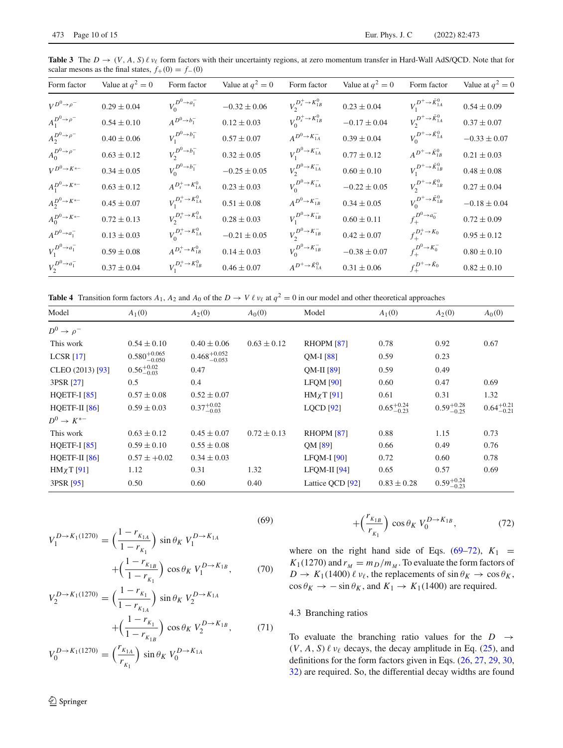<span id="page-9-0"></span>**Table 3** The  $D \to (V, A, S) \ell \nu_{\ell}$  form factors with their uncertainty regions, at zero momentum transfer in Hard-Wall AdS/QCD. Note that for scalar mesons as the final states,  $f_{+}(0) = f_{-}(0)$ 

| Form factor                    | Value at $q^2 = 0$ | Form factor                      | Value at $q^2 = 0$ | Form factor                     | Value at $q^2 = 0$ | Form factor                   | Value at $q^2 = 0$ |
|--------------------------------|--------------------|----------------------------------|--------------------|---------------------------------|--------------------|-------------------------------|--------------------|
| $V^{D^0 \rightarrow \rho^-}$   | $0.29\pm0.04$      | $V_0^{D^0\rightarrow a_1^-}$     | $-0.32 \pm 0.06$   | $V_2^{D_s^+ \to K_{1B}^0}$      | $0.23 \pm 0.04$    | $V_1^{D^+\to \bar{K}_{1A}^0}$ | $0.54 \pm 0.09$    |
| $A_1^{D^0\rightarrow \rho^-}$  | $0.54 \pm 0.10$    | $A^{D^0 \rightarrow b_1^-}$      | $0.12 \pm 0.03$    | $V_0^{D_s^+ \to K_{1B}^0}$      | $-0.17 \pm 0.04$   | $V_2^{D^+\to \bar{K}_{1A}^0}$ | $0.37 \pm 0.07$    |
| $A_2^{D^0 \rightarrow \rho^-}$ | $0.40\pm0.06$      | $V_1^{D^0 \to b_1^-}$            | $0.57 \pm 0.07$    | $A^{D^0 \rightarrow K^-_{1A}}$  | $0.39 \pm 0.04$    | $V_0^{D^+\to \bar{K}_{1A}^0}$ | $-0.33 \pm 0.07$   |
| $A_0^{D^0\rightarrow \rho^-}$  | $0.63 \pm 0.12$    | $V_2^{D^0 \to b_1^-}$            | $0.32 \pm 0.05$    | $V_1^{D^0 \to K_{1A}^-}$        | $0.77 \pm 0.12$    | $A^{D^+\to \bar{K}_{1B}^0}$   | $0.21 \pm 0.03$    |
| $V^{D^0\to K^{*-}}$            | $0.34 \pm 0.05$    | $V_0^{D^0 \rightarrow b_1^-}$    | $-0.25\pm0.05$     | $V_2^{D^0\rightarrow K^-_{1A}}$ | $0.60 \pm 0.10$    | $V_1^{D^+\to \bar{K}^0_{1B}}$ | $0.48 \pm 0.08$    |
| $A_1^{D^0\to K^{*-}}$          | $0.63 \pm 0.12$    | $A^{D_s^+ \rightarrow K_{1A}^0}$ | $0.23 \pm 0.03$    | $V_0^{D^0 \to K_{1A}^-}$        | $-0.22 \pm 0.05$   | $V_2^{D^+\to \bar{K}_{1B}^0}$ | $0.27 \pm 0.04$    |
| $A_2^{D^0\to K^{*-}}$          | $0.45 \pm 0.07$    | $V_1^{D_s^+ \to K_{1A}^0}$       | $0.51 \pm 0.08$    | $A^{D^0 \rightarrow K^-_{1B}}$  | $0.34 \pm 0.05$    | $V_0^{D^+\to \bar{K}_{1B}^0}$ | $-0.18 \pm 0.04$   |
| $A_0^{D^0\to K^{*-}}$          | $0.72 \pm 0.13$    | $V_2^{D_s^+ \to K_{1A}^0}$       | $0.28 \pm 0.03$    | $V_1^{D^0 \to K_{1B}^-}$        | $0.60 \pm 0.11$    | $f_+^{D^0 \to a_0^-}$         | $0.72 \pm 0.09$    |
| $A^{D^0 \rightarrow a_1^-}$    | $0.13 \pm 0.03$    | $V_0^{D_s^+ \to K_{1A}^0}$       | $-0.21 \pm 0.05$   | $V_2^{D^0 \to K_{1B}^-}$        | $0.42 \pm 0.07$    | $f_{\perp}^{D_s^+ \to K_0}$   | $0.95 \pm 0.12$    |
| $V_1^{D^0 \to a_1^-}$          | $0.59 \pm 0.08$    | $A^{D_s^+ \rightarrow K_{1B}^0}$ | $0.14 \pm 0.03$    | $V_0^{D^0 \to K_{1B}^-}$        | $-0.38 \pm 0.07$   | $f_+^{D^0\to K_0^-}$          | $0.80\pm0.10$      |
| $V_2^{D^0 \to a_1^-}$          | $0.37\pm0.04$      | $V_1^{D_s^+ \to K_{1B}^0}$       | $0.46 \pm 0.07$    | $A^{D^+\to \bar{K}_{1A}^0}$     | $0.31\pm0.06$      | $f_+^{D^+\to \bar{K}_0}$      | $0.82 \pm 0.10$    |

<span id="page-9-1"></span>**Table 4** Transition form factors  $A_1$ ,  $A_2$  and  $A_0$  of the  $D \to V \ell \nu_{\ell}$  at  $q^2 = 0$  in our model and other theoretical approaches

| Model                    | $A_1(0)$                  | $A_2(0)$                  | A <sub>0</sub> (0) | Model              | $A_1(0)$               | $A_2(0)$               | $A_0(0)$               |
|--------------------------|---------------------------|---------------------------|--------------------|--------------------|------------------------|------------------------|------------------------|
| $D^0 \rightarrow \rho^-$ |                           |                           |                    |                    |                        |                        |                        |
| This work                | $0.54 \pm 0.10$           | $0.40 \pm 0.06$           | $0.63 \pm 0.12$    | <b>RHOPM [87]</b>  | 0.78                   | 0.92                   | 0.67                   |
| LCSR [17]                | $0.580^{+0.065}_{-0.050}$ | $0.468^{+0.052}_{-0.053}$ |                    | $OM-I$ [88]        | 0.59                   | 0.23                   |                        |
| CLEO (2013) [93]         | $0.56_{-0.03}^{+0.02}$    | 0.47                      |                    | QM-II [89]         | 0.59                   | 0.49                   |                        |
| 3PSR [27]                | 0.5                       | 0.4                       |                    | <b>LFOM [90]</b>   | 0.60                   | 0.47                   | 0.69                   |
| HQETF-I $[85]$           | $0.57 \pm 0.08$           | $0.52 \pm 0.07$           |                    | $HM \chi T$ [91]   | 0.61                   | 0.31                   | 1.32                   |
| HOETF-II $[86]$          | $0.59 \pm 0.03$           | $0.37^{+0.02}_{-0.03}$    |                    | $LQCD$ [92]        | $0.65_{-0.23}^{+0.24}$ | $0.59^{+0.28}_{-0.25}$ | $0.64^{+0.21}_{-0.21}$ |
| $D^0 \rightarrow K^{*-}$ |                           |                           |                    |                    |                        |                        |                        |
| This work                | $0.63 \pm 0.12$           | $0.45 \pm 0.07$           | $0.72 \pm 0.13$    | <b>RHOPM [87]</b>  | 0.88                   | 1.15                   | 0.73                   |
| <b>HQETF-I</b> [85]      | $0.59 \pm 0.10$           | $0.55 \pm 0.08$           |                    | QM [89]            | 0.66                   | 0.49                   | 0.76                   |
| HOETF-II $[86]$          | $0.57 \pm +0.02$          | $0.34 \pm 0.03$           |                    | <b>LFOM-I</b> [90] | 0.72                   | 0.60                   | 0.78                   |
| $HM \chi T$ [91]         | 1.12                      | 0.31                      | 1.32               | $LFOM-II$ [94]     | 0.65                   | 0.57                   | 0.69                   |
| 3PSR [95]                | 0.50                      | 0.60                      | 0.40               | Lattice QCD [92]   | $0.83 \pm 0.28$        | $0.59_{-0.23}^{+0.24}$ |                        |

$$
V_1^{D \to K_1(1270)} = \left(\frac{1 - r_{K_{1A}}}{1 - r_{K_1}}\right) \sin \theta_K \ V_1^{D \to K_{1A}} + \left(\frac{1 - r_{K_{1B}}}{1 - r_{K_1}}\right) \cos \theta_K \ V_1^{D \to K_{1B}},\tag{70}
$$

$$
V_2^{D \to K_1(1270)} = \left(\frac{1 - r_{K_1}}{1 - r_{K_{1A}}}\right) \sin \theta_K \ V_2^{D \to K_{1A}} + \left(\frac{1 - r_{K_1}}{1 - r_{K_{1B}}}\right) \cos \theta_K \ V_2^{D \to K_{1B}},\tag{71}
$$

$$
V_0^{D \to K_1(1270)} = \left(\frac{r_{K_{1A}}}{r_{K_1}}\right) \sin \theta_K \ V_0^{D \to K_{1A}}
$$

<sup>2</sup> Springer

$$
+\left(\frac{r_{K_{1B}}}{r_{K_1}}\right)\cos\theta_K\ V_0^{D\to K_{1B}},\tag{72}
$$

where on the right hand side of Eqs.  $(69-72)$ ,  $K_1$  =  $K_1(1270)$  and  $r_M = m_D/m_M$ . To evaluate the form factors of  $D \to K_1(1400) \ell \nu_\ell$ , the replacements of  $\sin \theta_K \to \cos \theta_K$ ,  $\cos \theta_K \to -\sin \theta_K$ , and  $K_1 \to K_1(1400)$  are required.

# 4.3 Branching ratios

To evaluate the branching ratio values for the  $D \rightarrow$  $(V, A, S) \ell \nu_{\ell}$  decays, the decay amplitude in Eq. [\(25\)](#page-4-4), and definitions for the form factors given in Eqs. [\(26,](#page-4-2) [27,](#page-4-2) [29,](#page-4-3) [30,](#page-4-3) [32\)](#page-5-3) are required. So, the differential decay widths are found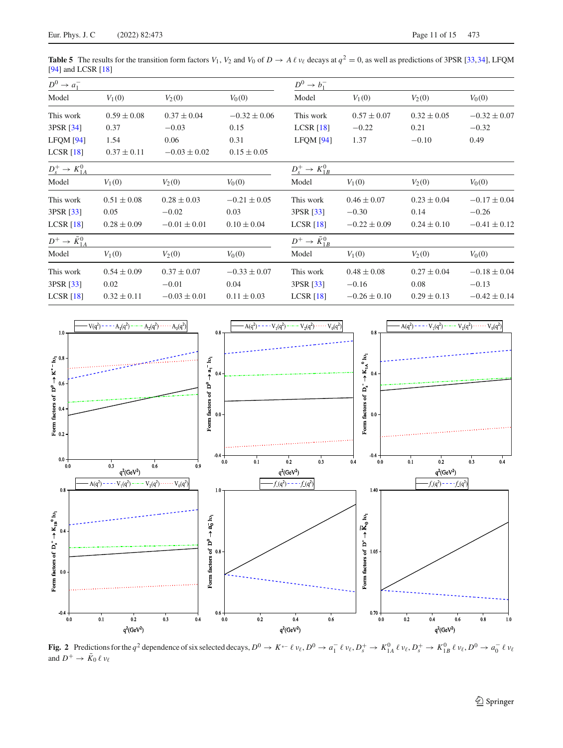<span id="page-10-0"></span>**Table 5** The results for the transition form factors  $V_1$ ,  $V_2$  and  $V_0$  of  $D \to A \ell \nu_{\ell}$  decays at  $q^2 = 0$ , as well as predictions of 3PSR [\[33](#page-14-50)[,34\]](#page-14-6), LFQM [\[94](#page-14-46)] and LCSR [\[18](#page-14-0)]

| $D^0 \rightarrow a_1^-$          |                 |                  |                  | $D^0 \rightarrow b_1^-$          |                  |                 |                  |
|----------------------------------|-----------------|------------------|------------------|----------------------------------|------------------|-----------------|------------------|
| Model                            | $V_1(0)$        | $V_2(0)$         | $V_0(0)$         | Model                            | $V_1(0)$         | $V_2(0)$        | $V_0(0)$         |
| This work                        | $0.59 \pm 0.08$ | $0.37 \pm 0.04$  | $-0.32 \pm 0.06$ | This work                        | $0.57 \pm 0.07$  | $0.32 \pm 0.05$ | $-0.32 \pm 0.07$ |
| 3PSR [34]                        | 0.37            | $-0.03$          | 0.15             | LCSR $[18]$                      | $-0.22$          | 0.21            | $-0.32$          |
| LFOM [94]                        | 1.54            | 0.06             | 0.31             | LFOM [94]                        | 1.37             | $-0.10$         | 0.49             |
| LCSR [18]                        | $0.37 \pm 0.11$ | $-0.03 \pm 0.02$ | $0.15 \pm 0.05$  |                                  |                  |                 |                  |
| $D_s^+ \rightarrow K_{1A}^0$     |                 |                  |                  | $D_s^+ \to K_{1B}^0$             |                  |                 |                  |
| Model                            | $V_1(0)$        | $V_2(0)$         | $V_0(0)$         | Model                            | $V_1(0)$         | $V_2(0)$        | $V_0(0)$         |
| This work                        | $0.51 \pm 0.08$ | $0.28 \pm 0.03$  | $-0.21 \pm 0.05$ | This work                        | $0.46 \pm 0.07$  | $0.23 \pm 0.04$ | $-0.17 \pm 0.04$ |
| 3PSR [33]                        | 0.05            | $-0.02$          | 0.03             | 3PSR [33]                        | $-0.30$          | 0.14            | $-0.26$          |
| LCSR [18]                        | $0.28 \pm 0.09$ | $-0.01 \pm 0.01$ | $0.10 \pm 0.04$  | LCSR [18]                        | $-0.22 \pm 0.09$ | $0.24 \pm 0.10$ | $-0.41 \pm 0.12$ |
| $D^+ \rightarrow \bar{K}_{1A}^0$ |                 |                  |                  | $D^+ \rightarrow \bar{K}_{1B}^0$ |                  |                 |                  |
| Model                            | $V_1(0)$        | $V_2(0)$         | $V_0(0)$         | Model                            | $V_1(0)$         | $V_2(0)$        | $V_0(0)$         |
| This work                        | $0.54 \pm 0.09$ | $0.37 \pm 0.07$  | $-0.33 \pm 0.07$ | This work                        | $0.48 \pm 0.08$  | $0.27 \pm 0.04$ | $-0.18 \pm 0.04$ |
| 3PSR [33]                        | 0.02            | $-0.01$          | 0.04             | 3PSR [33]                        | $-0.16$          | 0.08            | $-0.13$          |
| LCSR [18]                        | $0.32 \pm 0.11$ | $-0.03 \pm 0.01$ | $0.11 \pm 0.03$  | LCSR [18]                        | $-0.26 \pm 0.10$ | $0.29 \pm 0.13$ | $-0.42 \pm 0.14$ |



<span id="page-10-1"></span>**Fig. 2** Predictions for the  $q^2$  dependence of six selected decays,  $D^0 \to K^{*-} \ell \nu_{\ell}, D^0 \to a_1^- \ell \nu_{\ell}, D_s^+ \to K_{1A}^0 \ell \nu_{\ell}, D_s^+ \to K_{1B}^0 \ell \nu_{\ell}, D^0 \to a_0^- \ell \nu_{\ell}$ and  $D^+ \to K_0 \ell \nu_\ell$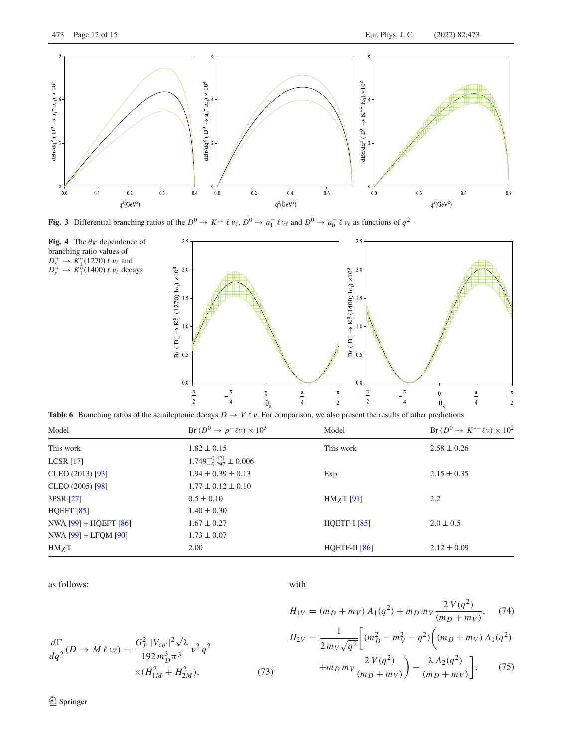

<span id="page-11-1"></span>**Fig. 3** Differential branching ratios of the  $D^0 \to K^{*-}\ell \nu_\ell, D^0 \to a_1^- \ell \nu_\ell$  and  $D^0 \to a_0^- \ell \nu_\ell$  as functions of  $q^2$ 

<span id="page-11-2"></span>



<span id="page-11-3"></span>**Table 6** Branching ratios of the semileptonic decays  $D \to V \ell \nu$ . For comparison, we also present the results of other predictions

| Model                     | Br $(D^0 \rightarrow \rho^- \ell \nu) \times 10^3$ | Model            | Br $(D^0 \rightarrow K^{*-} \ell \nu) \times 10^2$ |
|---------------------------|----------------------------------------------------|------------------|----------------------------------------------------|
| This work                 | $1.82 \pm 0.15$                                    | This work        | $2.58 \pm 0.26$                                    |
| LCSR [17]                 | $1.749_{-0.297}^{+0.421} \pm 0.006$                |                  |                                                    |
| CLEO $(2013)$ [93]        | $1.94 \pm 0.39 \pm 0.13$                           | Exp              | $2.15 \pm 0.35$                                    |
| CLEO (2005) [98]          | $1.77 \pm 0.12 \pm 0.10$                           |                  |                                                    |
| 3PSR [27]                 | $0.5 \pm 0.10$                                     | $HM \chi T$ [91] | 2.2                                                |
| HQEFT $[85]$              | $1.40 \pm 0.30$                                    |                  |                                                    |
| NWA $[99] + HQEFT [86]$   | $1.67 \pm 0.27$                                    | HQETF-I $[85]$   | $2.0 \pm 0.5$                                      |
| NWA $[99] + L$ FQM $[90]$ | $1.73 \pm 0.07$                                    |                  |                                                    |
| $HM \chi T$               | 2.00                                               | HQETF-II $[86]$  | $2.12 \pm 0.09$                                    |

as follows:

with

$$
\frac{d\Gamma}{dq^2}(D \to M \ell \nu_\ell) = \frac{G_F^2 |V_{cq'}|^2 \sqrt{\lambda}}{192 m_D^3 \pi^3} \nu^2 q^2
$$
  
× $(H_{1M}^2 + H_{2M}^2)$ , (73)

<span id="page-11-0"></span>
$$
H_{1V} = (m_D + m_V) A_1(q^2) + m_D m_V \frac{2 V(q^2)}{(m_D + m_V)},
$$
(74)  

$$
H_{2V} = \frac{1}{2 m_V \sqrt{q^2}} \bigg[ (m_D^2 - m_V^2 - q^2) \bigg( (m_D + m_V) A_1(q^2) + m_D m_V \frac{2 V(q^2)}{(m_D + m_V)} \bigg) - \frac{\lambda A_2(q^2)}{(m_D + m_V)} \bigg],
$$
(75)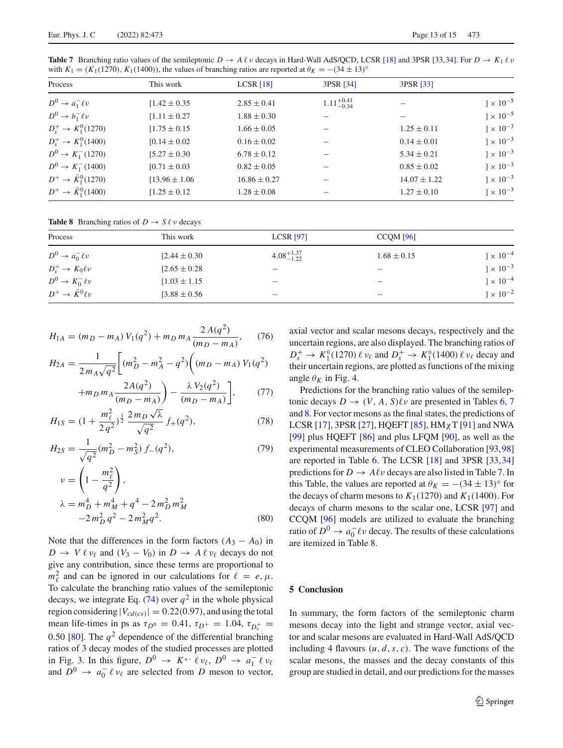<span id="page-12-1"></span>**Table 7** Branching ratio values of the semileptonic  $D \to A \ell \nu$  decays in Hard-Wall AdS/QCD, LCSR [\[18](#page-14-0)] and 3PSR [\[33,](#page-14-50)[34](#page-14-6)]. For  $D \to K_1 \ell \nu$ with  $K_1 = (K_1(1270), K_1(1400))$ , the values of branching ratios are reported at  $\theta_K = -(34 \pm 13)$ <sup>°</sup>

| Process                          | This work         | LCSR $[18]$      | 3PSR [34]              | 3PSR [33]        |                    |
|----------------------------------|-------------------|------------------|------------------------|------------------|--------------------|
| $D^0 \rightarrow a_1^- \ell \nu$ | $1.42 \pm 0.35$   | $2.85 \pm 0.41$  | $1.11_{-0.34}^{+0.41}$ |                  | $] \times 10^{-5}$ |
| $D^0 \rightarrow b_1^- \ell \nu$ | $[1.11 \pm 0.27]$ | $1.88 \pm 0.30$  |                        |                  | $]\times 10^{-5}$  |
| $D_s^+ \to K_1^0(1270)$          | $[1.75 \pm 0.15]$ | $1.66 \pm 0.05$  |                        | $1.25 \pm 0.11$  | $1 \times 10^{-3}$ |
| $D_s^+ \to K_1^0(1400)$          | $[0.14 \pm 0.02]$ | $0.16 \pm 0.02$  |                        | $0.14 \pm 0.01$  | $1 \times 10^{-3}$ |
| $D^0 \rightarrow K_1^-(1270)$    | $[5.27 \pm 0.30]$ | $6.78 \pm 0.12$  |                        | $5.34 \pm 0.21$  | $]\times 10^{-3}$  |
| $D^0 \rightarrow K_1^- (1400)$   | $[0.71 \pm 0.03]$ | $0.82 \pm 0.05$  |                        | $0.85 \pm 0.02$  | $1 \times 10^{-3}$ |
| $D^+ \to \bar{K}_1^0(1270)$      | $13.96 \pm 1.06$  | $16.86 \pm 0.27$ |                        | $14.07 \pm 1.22$ | $1 \times 10^{-3}$ |
| $D^+ \to \bar{K}_1^0(1400)$      | $1.25 \pm 0.12$   | $1.28 \pm 0.08$  |                        | $1.27 \pm 0.10$  | $]\times 10^{-3}$  |

<span id="page-12-2"></span>**Table 8** Branching ratios of  $D \to S \ell \nu$  decays

| Process                              | This work         | <b>LCSR</b> [97]                | $CCQM$ [96]     |                    |
|--------------------------------------|-------------------|---------------------------------|-----------------|--------------------|
| $D^0 \rightarrow a_0^- \ell \nu$     | $[2.44 \pm 0.30]$ | $4.08^{+1.37}_{-1.22}$          | $1.68 \pm 0.15$ | $] \times 10^{-4}$ |
| $D_s^+ \to K_0 \ell \nu$             | $[2.65 \pm 0.28]$ | $\hspace{0.1mm}-\hspace{0.1mm}$ |                 | $1 \times 10^{-3}$ |
| $D^0 \rightarrow K_0^- \ell \nu$     | $[1.03 \pm 1.15]$ | $\hspace{0.1mm}-\hspace{0.1mm}$ |                 | $1 \times 10^{-4}$ |
| $D^+ \rightarrow \bar{K}^0 \ell \nu$ | $[3.88 \pm 0.56]$ |                                 |                 | $1 \times 10^{-2}$ |

$$
H_{1A} = (m_D - m_A) V_1(q^2) + m_D m_A \frac{2 A(q^2)}{(m_D - m_A)},\tag{76}
$$

$$
H_{2A} = \frac{1}{2 m_A \sqrt{q^2}} \left[ (m_D^2 - m_A^2 - q^2) \left( (m_D - m_A) V_1(q^2) + m_D m_A \frac{2A(q^2)}{(m_D - m_A)} \right) - \frac{\lambda V_2(q^2)}{(m_D - m_A)} \right],
$$
 (77)

$$
H_{1S} = (1 + \frac{m_{\ell}^2}{2q^2})^{\frac{1}{2}} \frac{2m_D \sqrt{\lambda}}{\sqrt{q^2}} f_+(q^2), \qquad (78)
$$

$$
H_{2S} = \frac{1}{\sqrt{q^2}} (m_D^2 - m_S^2) f_-(q^2),
$$
 (79)

$$
\nu = \left(1 - \frac{m_{\ell}^2}{q^2}\right),
$$
  
\n
$$
\lambda = m_D^4 + m_M^4 + q^4 - 2m_D^2 m_M^2
$$
  
\n
$$
-2m_D^2 q^2 - 2m_M^2 q^2.
$$
\n(80)

Note that the differences in the form factors  $(A_3 - A_0)$  in  $D \to V \ell \nu_{\ell}$  and  $(V_3 - V_0)$  in  $D \to A \ell \nu_{\ell}$  decays do not give any contribution, since these terms are proportional to  $m_{\ell}^2$  and can be ignored in our calculations for  $\ell = e, \mu$ . To calculate the branching ratio values of the semileptonic decays, we integrate Eq. [\(74\)](#page-11-0) over  $q^2$  in the whole physical region considering  $|V_{cd(cs)}| = 0.22(0.97)$ , and using the total mean life-times in ps as  $\tau_{D^0} = 0.41$ ,  $\tau_{D^+} = 1.04$ ,  $\tau_{D_s^+} =$ 0.50 [\[80](#page-14-31)]. The  $q^2$  dependence of the differential branching ratios of 3 decay modes of the studied processes are plotted in Fig. [3.](#page-11-1) In this figure,  $D^0 \rightarrow K^{*-} \ell \nu_{\ell}$ ,  $D^0 \rightarrow a_1^- \ell \nu_{\ell}$ and  $D^0 \rightarrow a_0^- \ell \nu_\ell$  are selected from *D* meson to vector,

axial vector and scalar mesons decays, respectively and the uncertain regions, are also displayed. The branching ratios of *D*<sup>+</sup><sub>*s*</sub> → *K*<sup>0</sup><sub>1</sub>(1270)  $\ell$  ν<sub>ℓ</sub> and *D*<sup>+</sup><sub>*s*</sub> → *K*<sup>0</sup><sub>1</sub>(1400)  $\ell$  ν<sub>ℓ</sub> decay and their uncertain regions, are plotted as functions of the mixing angle  $\theta_K$  in Fig. [4.](#page-11-2)

Predictions for the branching ratio values of the semileptonic decays  $D \to (V, A, S)\ell \nu$  are presented in Tables [6,](#page-11-3) [7](#page-12-1) and [8.](#page-12-2) For vector mesons as the final states, the predictions of LCSR [\[17](#page-14-35)], 3PSR [\[27](#page-14-36)], HQEFT [\[85\]](#page-14-37),  $HM\chi T$  [\[91\]](#page-14-43) and NWA [\[99](#page-14-52)] plus HQEFT [\[86\]](#page-14-38) and plus LFQM [\[90\]](#page-14-42), as well as the experimental measurements of CLEO Collaboration [\[93,](#page-14-45)[98\]](#page-14-51) are reported in Table [6.](#page-11-3) The LCSR [\[18\]](#page-14-0) and 3PSR [\[33,](#page-14-50)[34\]](#page-14-6) predictions for  $D \to A\ell\nu$  decays are also listed in Table [7.](#page-12-1) In this Table, the values are reported at  $\theta_K = -(34 \pm 13)^\circ$  for the decays of charm mesons to  $K_1(1270)$  and  $K_1(1400)$ . For decays of charm mesons to the scalar one, LCSR [\[97](#page-14-48)] and CCQM [\[96](#page-14-47)] models are utilized to evaluate the branching ratio of  $D^0 \to a_0^- \ell \nu$  decay. The results of these calculations are itemized in Table [8.](#page-12-2)

#### <span id="page-12-0"></span>**5 Conclusion**

In summary, the form factors of the semileptonic charm mesons decay into the light and strange vector, axial vector and scalar mesons are evaluated in Hard-Wall AdS/QCD including 4 flavours  $(u, d, s, c)$ . The wave functions of the scalar mesons, the masses and the decay constants of this group are studied in detail, and our predictions for the masses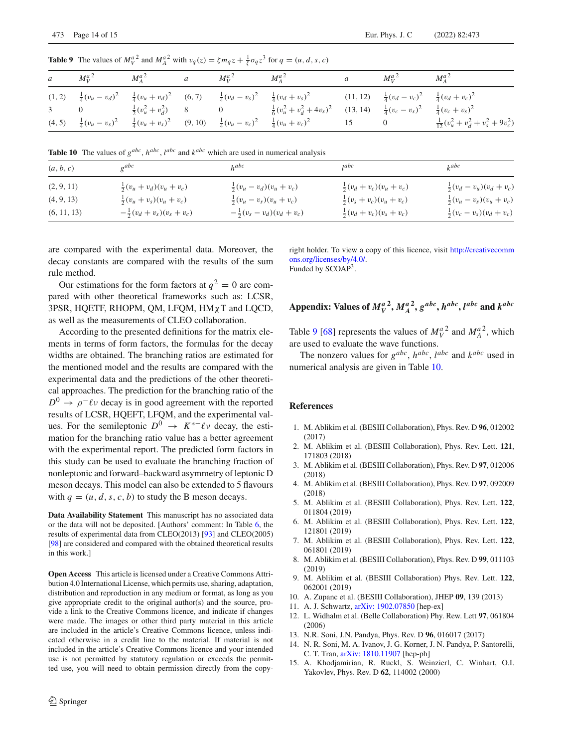|  | a $M_V^{a^2}$ $M_A^{a^2}$ a $M_V^{a^2}$ $M_A^{a^2}$ |  |                                                                                                                                                                                          | $\mathfrak{a}$ | $M_V^{a^2}$ $M_A^{a^2}$ |                                          |
|--|-----------------------------------------------------|--|------------------------------------------------------------------------------------------------------------------------------------------------------------------------------------------|----------------|-------------------------|------------------------------------------|
|  |                                                     |  | (1, 2) $\frac{1}{4}(v_u - v_d)^2$ $\frac{1}{4}(v_u + v_d)^2$ (6, 7) $\frac{1}{4}(v_d - v_s)^2$ $\frac{1}{4}(v_d + v_s)^2$ (11, 12) $\frac{1}{4}(v_d - v_c)^2$ $\frac{1}{4}(v_d + v_c)^2$ |                |                         |                                          |
|  |                                                     |  | 3 0 $\frac{1}{2}(v_u^2 + v_d^2)$ 8 0 $\frac{1}{6}(v_u^2 + v_d^2 + 4v_s)^2$ (13, 14) $\frac{1}{4}(v_c - v_s)^2$ $\frac{1}{4}(v_c + v_s)^2$                                                |                |                         |                                          |
|  |                                                     |  | (4, 5) $\frac{1}{4}(v_u - v_s)^2$ $\frac{1}{4}(v_u + v_s)^2$ (9, 10) $\frac{1}{4}(v_u - v_c)^2$ $\frac{1}{4}(v_u + v_c)^2$ 15                                                            |                | $\overline{0}$          | $\frac{1}{12}(v_u^2+v_d^2+v_s^2+9v_c^2)$ |

<span id="page-13-7"></span>**Table 9** The values of  $M_V^{a^2}$  and  $M_A^{a^2}$  with  $v_q(z) = \zeta m_q z + \frac{1}{\zeta} \sigma_q z^3$  for  $q = (u, d, s, c)$ 

<span id="page-13-8"></span>**Table 10** The values of  $g^{abc}$ ,  $h^{abc}$ ,  $l^{abc}$  and  $k^{abc}$  which are used in numerical analysis

| (a, b, c)   | $\sigma^{abc}$                       | h <sup>abc</sup>                     | jabc                                | $k^{abc}$                           |
|-------------|--------------------------------------|--------------------------------------|-------------------------------------|-------------------------------------|
| (2, 9, 11)  | $\frac{1}{2}(v_u + v_d)(v_u + v_c)$  | $\frac{1}{2}(v_u - v_d)(v_u + v_c)$  | $\frac{1}{2}(v_d + v_c)(v_u + v_c)$ | $\frac{1}{2}(v_d - v_u)(v_d + v_c)$ |
| (4, 9, 13)  | $\frac{1}{2}(v_u + v_s)(v_u + v_c)$  | $\frac{1}{2}(v_u - v_s)(v_u + v_c)$  | $\frac{1}{2}(v_s + v_c)(v_u + v_c)$ | $\frac{1}{2}(v_u - v_s)(v_u + v_c)$ |
| (6, 11, 13) | $-\frac{1}{2}(v_d + v_s)(v_s + v_c)$ | $-\frac{1}{2}(v_s - v_d)(v_d + v_c)$ | $\frac{1}{2}(v_d + v_c)(v_s + v_c)$ | $\frac{1}{2}(v_c - v_s)(v_d + v_c)$ |

are compared with the experimental data. Moreover, the decay constants are compared with the results of the sum rule method.

Our estimations for the form factors at  $q^2 = 0$  are compared with other theoretical frameworks such as: LCSR, 3PSR, HQETF, RHOPM, QM, LFQM, HMχT and LQCD, as well as the measurements of CLEO collaboration.

According to the presented definitions for the matrix elements in terms of form factors, the formulas for the decay widths are obtained. The branching ratios are estimated for the mentioned model and the results are compared with the experimental data and the predictions of the other theoretical approaches. The prediction for the branching ratio of the  $D^0 \rightarrow \rho^- \ell \nu$  decay is in good agreement with the reported results of LCSR, HQEFT, LFQM, and the experimental values. For the semileptonic  $D^0 \rightarrow K^{*-}\ell\nu$  decay, the estimation for the branching ratio value has a better agreement with the experimental report. The predicted form factors in this study can be used to evaluate the branching fraction of nonleptonic and forward–backward asymmetry of leptonic D meson decays. This model can also be extended to 5 flavours with  $q = (u, d, s, c, b)$  to study the B meson decays.

**Data Availability Statement** This manuscript has no associated data or the data will not be deposited. [Authors' comment: In Table [6,](#page-11-3) the results of experimental data from CLEO(2013) [\[93\]](#page-14-45) and CLEO(2005) [\[98](#page-14-51)] are considered and compared with the obtained theoretical results in this work.]

**Open Access** This article is licensed under a Creative Commons Attribution 4.0 International License, which permits use, sharing, adaptation, distribution and reproduction in any medium or format, as long as you give appropriate credit to the original author(s) and the source, provide a link to the Creative Commons licence, and indicate if changes were made. The images or other third party material in this article are included in the article's Creative Commons licence, unless indicated otherwise in a credit line to the material. If material is not included in the article's Creative Commons licence and your intended use is not permitted by statutory regulation or exceeds the permitted use, you will need to obtain permission directly from the copyright holder. To view a copy of this licence, visit [http://creativecomm](http://creativecommons.org/licenses/by/4.0/) [ons.org/licenses/by/4.0/.](http://creativecommons.org/licenses/by/4.0/) Funded by SCOAP3.

# Appendix: Values of  $M_V^{a^2}$ ,  $M_A^{a^2}$ ,  $g^{abc}$ ,  $h^{abc}$ ,  $l^{abc}$  and  $k^{abc}$

Table [9](#page-13-7) [\[68\]](#page-14-17) represents the values of  $M_V^{a}$ <sup>2</sup> and  $M_A^{a}$ <sup>2</sup>, which are used to evaluate the wave functions.

The nonzero values for  $g^{abc}$ ,  $h^{abc}$ ,  $l^{abc}$  and  $k^{abc}$  used in numerical analysis are given in Table [10.](#page-13-8)

### **References**

- <span id="page-13-0"></span>1. M. Ablikim et al. (BESIII Collaboration), Phys. Rev. D **96**, 012002 (2017)
- 2. M. Ablikim et al. (BESIII Collaboration), Phys. Rev. Lett. **121**, 171803 (2018)
- 3. M. Ablikim et al. (BESIII Collaboration), Phys. Rev. D **97**, 012006 (2018)
- 4. M. Ablikim et al. (BESIII Collaboration), Phys. Rev. D **97**, 092009 (2018)
- 5. M. Ablikim et al. (BESIII Collaboration), Phys. Rev. Lett. **122**, 011804 (2019)
- 6. M. Ablikim et al. (BESIII Collaboration), Phys. Rev. Lett. **122**, 121801 (2019)
- 7. M. Ablikim et al. (BESIII Collaboration), Phys. Rev. Lett. **122**, 061801 (2019)
- 8. M. Ablikim et al. (BESIII Collaboration), Phys. Rev. D **99**, 011103 (2019)
- <span id="page-13-1"></span>9. M. Ablikim et al. (BESIII Collaboration) Phys. Rev. Lett. **122**, 062001 (2019)
- <span id="page-13-2"></span>10. A. Zupanc et al. (BESIII Collaboration), JHEP **09**, 139 (2013)
- 11. A. J. Schwartz, [arXiv: 1902.07850](http://arxiv.org/abs/1902.07850) [hep-ex]
- <span id="page-13-3"></span>12. L. Widhalm et al. (Belle Collaboration) Phy. Rew. Lett **97**, 061804 (2006)
- <span id="page-13-4"></span>13. N.R. Soni, J.N. Pandya, Phys. Rev. D **96**, 016017 (2017)
- <span id="page-13-5"></span>14. N. R. Soni, M. A. Ivanov, J. G. Korner, J. N. Pandya, P. Santorelli, C. T. Tran, [arXiv: 1810.11907](http://arxiv.org/abs/1810.11907) [hep-ph]
- <span id="page-13-6"></span>15. A. Khodjamirian, R. Ruckl, S. Weinzierl, C. Winhart, O.I. Yakovlev, Phys. Rev. D **62**, 114002 (2000)